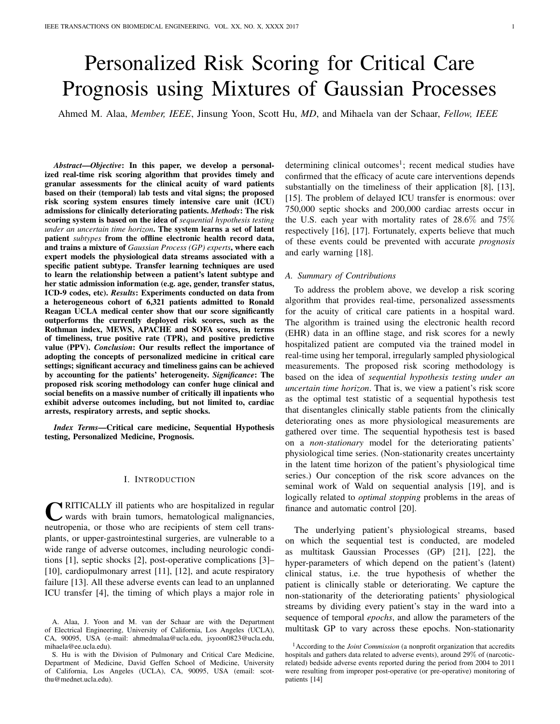# Personalized Risk Scoring for Critical Care Prognosis using Mixtures of Gaussian Processes

Ahmed M. Alaa, *Member, IEEE*, Jinsung Yoon, Scott Hu, *MD*, and Mihaela van der Schaar, *Fellow, IEEE*

*Abstract*—*Objective*: In this paper, we develop a personalized real-time risk scoring algorithm that provides timely and granular assessments for the clinical acuity of ward patients based on their (temporal) lab tests and vital signs; the proposed risk scoring system ensures timely intensive care unit (ICU) admissions for clinically deteriorating patients. *Methods*: The risk scoring system is based on the idea of *sequential hypothesis testing under an uncertain time horizon*. The system learns a set of latent patient *subtypes* from the offline electronic health record data, and trains a mixture of *Gaussian Process (GP) experts*, where each expert models the physiological data streams associated with a specific patient subtype. Transfer learning techniques are used to learn the relationship between a patient's latent subtype and her static admission information (e.g. age, gender, transfer status, ICD-9 codes, etc). *Results*: Experiments conducted on data from a heterogeneous cohort of 6,321 patients admitted to Ronald Reagan UCLA medical center show that our score significantly outperforms the currently deployed risk scores, such as the Rothman index, MEWS, APACHE and SOFA scores, in terms of timeliness, true positive rate (TPR), and positive predictive value (PPV). *Conclusion*: Our results reflect the importance of adopting the concepts of personalized medicine in critical care settings; significant accuracy and timeliness gains can be achieved by accounting for the patients' heterogeneity. *Significance*: The proposed risk scoring methodology can confer huge clinical and social benefits on a massive number of critically ill inpatients who exhibit adverse outcomes including, but not limited to, cardiac arrests, respiratory arrests, and septic shocks.

*Index Terms*—Critical care medicine, Sequential Hypothesis testing, Personalized Medicine, Prognosis.

#### I. INTRODUCTION

**C** RITICALLY ill patients who are hospitalized in regular wards with brain tumors, hematological malignancies, neutropenia, or those who are recipients of stem cell trans-RITICALLY ill patients who are hospitalized in regular wards with brain tumors, hematological malignancies, plants, or upper-gastrointestinal surgeries, are vulnerable to a wide range of adverse outcomes, including neurologic conditions [1], septic shocks [2], post-operative complications [3]– [10], cardiopulmonary arrest [11], [12], and acute respiratory failure [13]. All these adverse events can lead to an unplanned ICU transfer [4], the timing of which plays a major role in

determining clinical outcomes<sup>1</sup>; recent medical studies have confirmed that the efficacy of acute care interventions depends substantially on the timeliness of their application [8], [13], [15]. The problem of delayed ICU transfer is enormous: over 750,000 septic shocks and 200,000 cardiac arrests occur in the U.S. each year with mortality rates of 28.6% and 75% respectively [16], [17]. Fortunately, experts believe that much of these events could be prevented with accurate *prognosis* and early warning [18].

## *A. Summary of Contributions*

To address the problem above, we develop a risk scoring algorithm that provides real-time, personalized assessments for the acuity of critical care patients in a hospital ward. The algorithm is trained using the electronic health record (EHR) data in an offline stage, and risk scores for a newly hospitalized patient are computed via the trained model in real-time using her temporal, irregularly sampled physiological measurements. The proposed risk scoring methodology is based on the idea of *sequential hypothesis testing under an uncertain time horizon*. That is, we view a patient's risk score as the optimal test statistic of a sequential hypothesis test that disentangles clinically stable patients from the clinically deteriorating ones as more physiological measurements are gathered over time. The sequential hypothesis test is based on a *non-stationary* model for the deteriorating patients' physiological time series. (Non-stationarity creates uncertainty in the latent time horizon of the patient's physiological time series.) Our conception of the risk score advances on the seminal work of Wald on sequential analysis [19], and is logically related to *optimal stopping* problems in the areas of finance and automatic control [20].

The underlying patient's physiological streams, based on which the sequential test is conducted, are modeled as multitask Gaussian Processes (GP) [21], [22], the hyper-parameters of which depend on the patient's (latent) clinical status, i.e. the true hypothesis of whether the patient is clinically stable or deteriorating. We capture the non-stationarity of the deteriorating patients' physiological streams by dividing every patient's stay in the ward into a sequence of temporal *epochs*, and allow the parameters of the multitask GP to vary across these epochs. Non-stationarity

A. Alaa, J. Yoon and M. van der Schaar are with the Department of Electrical Engineering, University of California, Los Angeles (UCLA), CA, 90095, USA (e-mail: ahmedmalaa@ucla.edu, jsyoon0823@ucla.edu, mihaela@ee.ucla.edu).

S. Hu is with the Division of Pulmonary and Critical Care Medicine, Department of Medicine, David Geffen School of Medicine, University of California, Los Angeles (UCLA), CA, 90095, USA (email: scotthu@mednet.ucla.edu).

<sup>&</sup>lt;sup>1</sup> According to the *Joint Commission* (a nonprofit organization that accredits hospitals and gathers data related to adverse events), around 29% of (narcoticrelated) bedside adverse events reported during the period from 2004 to 2011 were resulting from improper post-operative (or pre-operative) monitoring of patients [14]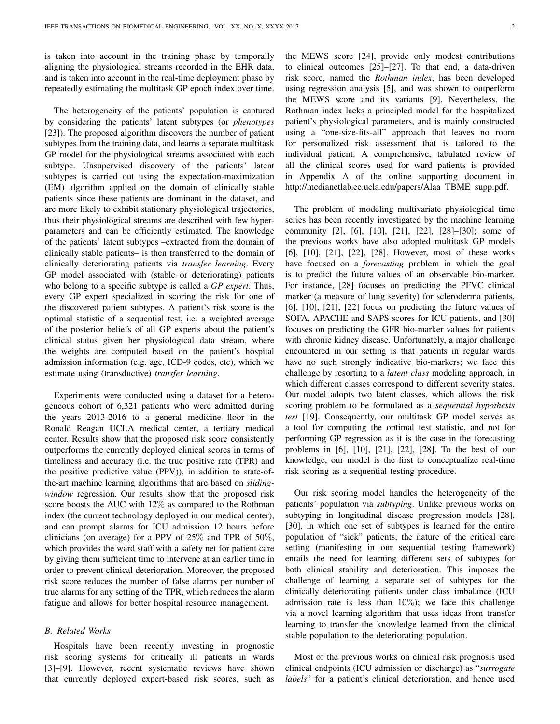is taken into account in the training phase by temporally aligning the physiological streams recorded in the EHR data, and is taken into account in the real-time deployment phase by repeatedly estimating the multitask GP epoch index over time.

The heterogeneity of the patients' population is captured by considering the patients' latent subtypes (or *phenotypes* [23]). The proposed algorithm discovers the number of patient subtypes from the training data, and learns a separate multitask GP model for the physiological streams associated with each subtype. Unsupervised discovery of the patients' latent subtypes is carried out using the expectation-maximization (EM) algorithm applied on the domain of clinically stable patients since these patients are dominant in the dataset, and are more likely to exhibit stationary physiological trajectories, thus their physiological streams are described with few hyperparameters and can be efficiently estimated. The knowledge of the patients' latent subtypes –extracted from the domain of clinically stable patients– is then transferred to the domain of clinically deteriorating patients via *transfer learning*. Every GP model associated with (stable or deteriorating) patients who belong to a specific subtype is called a *GP expert*. Thus, every GP expert specialized in scoring the risk for one of the discovered patient subtypes. A patient's risk score is the optimal statistic of a sequential test, i.e. a weighted average of the posterior beliefs of all GP experts about the patient's clinical status given her physiological data stream, where the weights are computed based on the patient's hospital admission information (e.g. age, ICD-9 codes, etc), which we estimate using (transductive) *transfer learning*.

Experiments were conducted using a dataset for a heterogeneous cohort of 6,321 patients who were admitted during the years 2013-2016 to a general medicine floor in the Ronald Reagan UCLA medical center, a tertiary medical center. Results show that the proposed risk score consistently outperforms the currently deployed clinical scores in terms of timeliness and accuracy (i.e. the true positive rate (TPR) and the positive predictive value (PPV)), in addition to state-ofthe-art machine learning algorithms that are based on *slidingwindow* regression. Our results show that the proposed risk score boosts the AUC with 12% as compared to the Rothman index (the current technology deployed in our medical center), and can prompt alarms for ICU admission 12 hours before clinicians (on average) for a PPV of  $25\%$  and TPR of  $50\%$ , which provides the ward staff with a safety net for patient care by giving them sufficient time to intervene at an earlier time in order to prevent clinical deterioration. Moreover, the proposed risk score reduces the number of false alarms per number of true alarms for any setting of the TPR, which reduces the alarm fatigue and allows for better hospital resource management.

#### *B. Related Works*

Hospitals have been recently investing in prognostic risk scoring systems for critically ill patients in wards [3]–[9]. However, recent systematic reviews have shown that currently deployed expert-based risk scores, such as the MEWS score [24], provide only modest contributions to clinical outcomes [25]–[27]. To that end, a data-driven risk score, named the *Rothman index*, has been developed using regression analysis [5], and was shown to outperform the MEWS score and its variants [9]. Nevertheless, the Rothman index lacks a principled model for the hospitalized patient's physiological parameters, and is mainly constructed using a "one-size-fits-all" approach that leaves no room for personalized risk assessment that is tailored to the individual patient. A comprehensive, tabulated review of all the clinical scores used for ward patients is provided in Appendix A of the online supporting document in http://medianetlab.ee.ucla.edu/papers/Alaa TBME supp.pdf.

The problem of modeling multivariate physiological time series has been recently investigated by the machine learning community [2], [6], [10], [21], [22], [28]–[30]; some of the previous works have also adopted multitask GP models [6], [10], [21], [22], [28]. However, most of these works have focused on a *forecasting* problem in which the goal is to predict the future values of an observable bio-marker. For instance, [28] focuses on predicting the PFVC clinical marker (a measure of lung severity) for scleroderma patients, [6], [10], [21], [22] focus on predicting the future values of SOFA, APACHE and SAPS scores for ICU patients, and [30] focuses on predicting the GFR bio-marker values for patients with chronic kidney disease. Unfortunately, a major challenge encountered in our setting is that patients in regular wards have no such strongly indicative bio-markers; we face this challenge by resorting to a *latent class* modeling approach, in which different classes correspond to different severity states. Our model adopts two latent classes, which allows the risk scoring problem to be formulated as a *sequential hypothesis test* [19]. Consequently, our multitask GP model serves as a tool for computing the optimal test statistic, and not for performing GP regression as it is the case in the forecasting problems in [6], [10], [21], [22], [28]. To the best of our knowledge, our model is the first to conceptualize real-time risk scoring as a sequential testing procedure.

Our risk scoring model handles the heterogeneity of the patients' population via *subtyping*. Unlike previous works on subtyping in longitudinal disease progression models [28], [30], in which one set of subtypes is learned for the entire population of "sick" patients, the nature of the critical care setting (manifesting in our sequential testing framework) entails the need for learning different sets of subtypes for both clinical stability and deterioration. This imposes the challenge of learning a separate set of subtypes for the clinically deteriorating patients under class imbalance (ICU admission rate is less than  $10\%$ ); we face this challenge via a novel learning algorithm that uses ideas from transfer learning to transfer the knowledge learned from the clinical stable population to the deteriorating population.

Most of the previous works on clinical risk prognosis used clinical endpoints (ICU admission or discharge) as "*surrogate labels*" for a patient's clinical deterioration, and hence used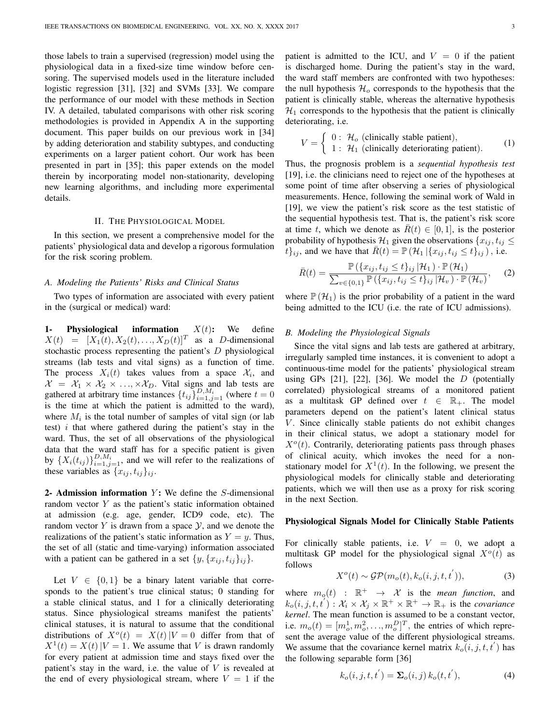those labels to train a supervised (regression) model using the physiological data in a fixed-size time window before censoring. The supervised models used in the literature included logistic regression [31], [32] and SVMs [33]. We compare the performance of our model with these methods in Section IV. A detailed, tabulated comparisons with other risk scoring methodologies is provided in Appendix A in the supporting document. This paper builds on our previous work in [34] by adding deterioration and stability subtypes, and conducting experiments on a larger patient cohort. Our work has been presented in part in [35]; this paper extends on the model therein by incorporating model non-stationarity, developing new learning algorithms, and including more experimental details.

#### II. THE PHYSIOLOGICAL MODEL

In this section, we present a comprehensive model for the patients' physiological data and develop a rigorous formulation for the risk scoring problem.

### *A. Modeling the Patients' Risks and Clinical Status*

Two types of information are associated with every patient in the (surgical or medical) ward:

1- Physiological information *X*(*t*): We define  $X(t) = [X_1(t), X_2(t), \ldots, X_D(t)]^T$  as a *D*-dimensional stochastic process representing the patient's *D* physiological streams (lab tests and vital signs) as a function of time. The process  $X_i(t)$  takes values from a space  $X_i$ , and  $\mathcal{X} = \mathcal{X}_1 \times \mathcal{X}_2 \times \ldots \times \mathcal{X}_D$ . Vital signs and lab tests are gathered at arbitrary time instances  $\{t_{ij}\}_{i=1,j=1}^{D,M_i}$  (where  $t=0$ is the time at which the patient is admitted to the ward), where  $M_i$  is the total number of samples of vital sign (or lab test) *i* that where gathered during the patient's stay in the ward. Thus, the set of all observations of the physiological data that the ward staff has for a specific patient is given by  $\{X_i(t_{ij})\}_{i=1,j=1}^{D,M_i}$ , and we will refer to the realizations of these variables as  $\{x_{ij}, t_{ij}\}_{ij}$ .

2- Admission information *Y* : We define the *S*-dimensional random vector *Y* as the patient's static information obtained at admission (e.g. age, gender, ICD9 code, etc). The random vector *Y* is drawn from a space *Y*, and we denote the realizations of the patient's static information as  $Y = y$ . Thus, the set of all (static and time-varying) information associated with a patient can be gathered in a set  $\{y, \{x_{ij}, t_{ij}\}_i\}$ .

Let  $V \in \{0, 1\}$  be a binary latent variable that corresponds to the patient's true clinical status; 0 standing for a stable clinical status, and 1 for a clinically deteriorating status. Since physiological streams manifest the patients' clinical statuses, it is natural to assume that the conditional distributions of  $X^o(t) = X(t) | V = 0$  differ from that of  $X^1(t) = X(t) | V = 1$ . We assume that *V* is drawn randomly for every patient at admission time and stays fixed over the patient's stay in the ward, i.e. the value of *V* is revealed at the end of every physiological stream, where  $V = 1$  if the patient is admitted to the ICU, and  $V = 0$  if the patient is discharged home. During the patient's stay in the ward, the ward staff members are confronted with two hypotheses: the null hypothesis  $\mathcal{H}_o$  corresponds to the hypothesis that the patient is clinically stable, whereas the alternative hypothesis  $\mathcal{H}_1$  corresponds to the hypothesis that the patient is clinically deteriorating, i.e.

$$
V = \begin{cases} 0: \mathcal{H}_o \text{ (clinically stable patient)},\\ 1: \mathcal{H}_1 \text{ (clinically deteriorating patient)}. \end{cases}
$$
 (1)

Thus, the prognosis problem is a *sequential hypothesis test* [19], i.e. the clinicians need to reject one of the hypotheses at some point of time after observing a series of physiological measurements. Hence, following the seminal work of Wald in [19], we view the patient's risk score as the test statistic of the sequential hypothesis test. That is, the patient's risk score at time *t*, which we denote as  $\overline{R}(t) \in [0, 1]$ , is the posterior probability of hypothesis  $\mathcal{H}_1$  given the observations  $\{x_{ij}, t_{ij} \leq j\}$  $t\}$ *ij*, and we have that  $\bar{R}(t) = \mathbb{P}(\mathcal{H}_1 | \{x_{ij}, t_{ij} \le t\}$ *ij*), i.e.

$$
\bar{R}(t) = \frac{\mathbb{P}\left(\{x_{ij}, t_{ij} \le t\}_{ij} | \mathcal{H}_1\right) \cdot \mathbb{P}\left(\mathcal{H}_1\right)}{\sum_{v \in \{0,1\}} \mathbb{P}\left(\{x_{ij}, t_{ij} \le t\}_{ij} | \mathcal{H}_v\right) \cdot \mathbb{P}\left(\mathcal{H}_v\right)},\tag{2}
$$

where  $\mathbb{P}(\mathcal{H}_1)$  is the prior probability of a patient in the ward being admitted to the ICU (i.e. the rate of ICU admissions).

## *B. Modeling the Physiological Signals*

Since the vital signs and lab tests are gathered at arbitrary, irregularly sampled time instances, it is convenient to adopt a continuous-time model for the patients' physiological stream using GPs [21], [22], [36]. We model the *D* (potentially correlated) physiological streams of a monitored patient as a multitask GP defined over  $t \in \mathbb{R}_+$ . The model parameters depend on the patient's latent clinical status *V*. Since clinically stable patients do not exhibit changes in their clinical status, we adopt a stationary model for  $X<sup>o</sup>(t)$ . Contrarily, deteriorating patients pass through phases of clinical acuity, which invokes the need for a nonstationary model for  $X^1(t)$ . In the following, we present the physiological models for clinically stable and deteriorating patients, which we will then use as a proxy for risk scoring in the next Section.

#### Physiological Signals Model for Clinically Stable Patients

For clinically stable patients, i.e.  $V = 0$ , we adopt a multitask GP model for the physiological signal  $X^o(t)$  as follows

$$
X^{o}(t) \sim \mathcal{GP}(m_o(t), k_o(i, j, t, t')), \qquad (3)
$$

where  $m_0(t)$  :  $\mathbb{R}^+$   $\rightarrow$  *X* is the *mean function*, and  $k_o(i, j, t, t^{'}) : \mathcal{X}_i \times \mathcal{X}_j \times \mathbb{R}^+ \times \mathbb{R}^+ \to \mathbb{R}_+$  is the *covariance kernel*. The mean function is assumed to be a constant vector, i.e.  $m_o(t) = [m_o^1, m_o^2, \dots, m_o^D]^T$ , the entries of which represent the average value of the different physiological streams. We assume that the covariance kernel matrix  $k_o(i, j, t, t')$  has the following separable form [36]

$$
k_o(i, j, t, t') = \Sigma_o(i, j) k_o(t, t'), \tag{4}
$$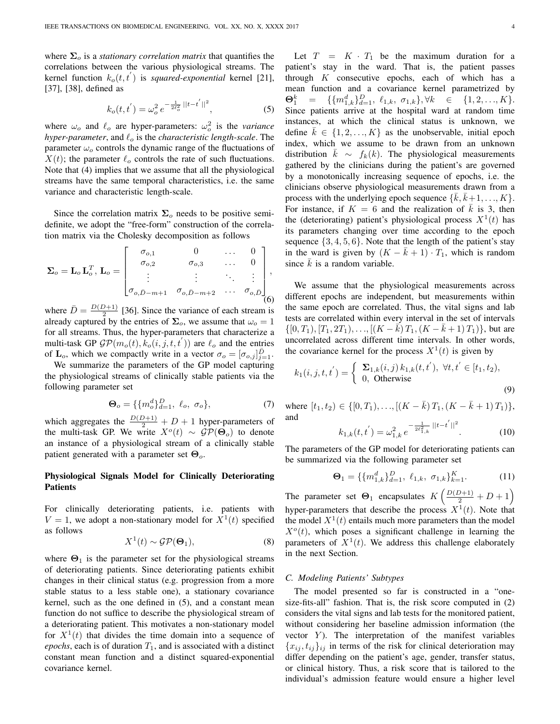where  $\Sigma_o$  is a *stationary correlation matrix* that quantifies the correlations between the various physiological streams. The kernel function  $k_o(t, t')$  is *squared-exponential* kernel [21], [37], [38], defined as

$$
k_o(t, t') = \omega_o^2 e^{-\frac{1}{2\ell_o^2} ||t - t'||^2}, \tag{5}
$$

where  $\omega_o$  and  $\ell_o$  are hyper-parameters:  $\omega_o^2$  is the *variance hyper-parameter*, and *ℓ<sup>o</sup>* is the *characteristic length-scale*. The parameter  $\omega$ <sup>o</sup> controls the dynamic range of the fluctuations of  $X(t)$ ; the parameter  $\ell_o$  controls the rate of such fluctuations. Note that (4) implies that we assume that all the physiological streams have the same temporal characteristics, i.e. the same variance and characteristic length-scale.

Since the correlation matrix  $\Sigma_o$  needs to be positive semidefinite, we adopt the "free-form" construction of the correlation matrix via the Cholesky decomposition as follows

$$
\mathbf{\Sigma}_o = \mathbf{L}_o \mathbf{L}_o^T, \mathbf{L}_o = \begin{bmatrix} \sigma_{o,1} & 0 & \dots & 0 \\ \sigma_{o,2} & \sigma_{o,3} & \dots & 0 \\ \vdots & \vdots & \ddots & \vdots \\ \sigma_{o,\bar{D}-m+1} & \sigma_{o,\bar{D}-m+2} & \dots & \sigma_{o,\bar{D}} \end{bmatrix},
$$

where  $\bar{D} = \frac{D(D+1)}{2}$  $\frac{2^{(1)}+1}{2}$  [36]. Since the variance of each stream is already captured by the entries of  $\Sigma_o$ , we assume that  $\omega_o = 1$ for all streams. Thus, the hyper-parameters that characterize a multi-task GP  $\mathcal{GP}(m_o(t), k_o(i, j, t, t'))$  are  $\ell_o$  and the entries of **L**<sub>*o*</sub>, which we compactly write in a vector  $\sigma_o = [\sigma_{o,j}]_{j=1}^{\bar{D}}$ .

We summarize the parameters of the GP model capturing the physiological streams of clinically stable patients via the following parameter set

$$
\mathbf{\Theta}_o = \{ \{ m_o^d \}_{d=1}^D, \ \ell_o, \ \sigma_o \},\tag{7}
$$

which aggregates the  $\frac{D(D+1)}{2} + D + 1$  hyper-parameters of the multi-task GP. We write  $X^o(t) \sim \mathcal{GP}(\Theta_o)$  to denote an instance of a physiological stream of a clinically stable patient generated with a parameter set **Θ***o*.

## Physiological Signals Model for Clinically Deteriorating Patients

For clinically deteriorating patients, i.e. patients with  $V = 1$ , we adopt a non-stationary model for  $X^1(t)$  specified as follows

$$
X^1(t) \sim \mathcal{GP}(\mathbf{\Theta}_1),\tag{8}
$$

where  $\Theta_1$  is the parameter set for the physiological streams of deteriorating patients. Since deteriorating patients exhibit changes in their clinical status (e.g. progression from a more stable status to a less stable one), a stationary covariance kernel, such as the one defined in (5), and a constant mean function do not suffice to describe the physiological stream of a deteriorating patient. This motivates a non-stationary model for  $X^1(t)$  that divides the time domain into a sequence of *epochs*, each is of duration  $T_1$ , and is associated with a distinct constant mean function and a distinct squared-exponential covariance kernel.

Let  $T = K \cdot T_1$  be the maximum duration for a patient's stay in the ward. That is, the patient passes through *K* consecutive epochs, each of which has a mean function and a covariance kernel parametrized by  $\Theta_1^k$  =  $A_1^k = \{ \{m_{1,k}^d\}_{d=1}^D, \ell_{1,k}, \sigma_{1,k} \}, \forall k \in \{1, 2, ..., K\}.$ Since patients arrive at the hospital ward at random time instances, at which the clinical status is unknown, we define  $k \in \{1, 2, ..., K\}$  as the unobservable, initial epoch index, which we assume to be drawn from an unknown distribution  $k \sim f_k(k)$ . The physiological measurements gathered by the clinicians during the patient's are governed by a monotonically increasing sequence of epochs, i.e. the clinicians observe physiological measurements drawn from a process with the underlying epoch sequence  $\{\bar{k}, \bar{k}+1, \ldots, K\}$ . For instance, if  $K = 6$  and the realization of  $\overline{k}$  is 3, then the (deteriorating) patient's physiological process  $X^1(t)$  has its parameters changing over time according to the epoch sequence  $\{3, 4, 5, 6\}$ . Note that the length of the patient's stay in the ward is given by  $(K - \bar{k} + 1) \cdot T_1$ , which is random since  $\overline{k}$  is a random variable.

We assume that the physiological measurements across different epochs are independent, but measurements within the same epoch are correlated. Thus, the vital signs and lab tests are correlated within every interval in the set of intervals  $\{(0, T_1), [T_1, 2T_1), \ldots, [(K - \bar{k}) T_1, (K - \bar{k} + 1) T_1)\}$ , but are uncorrelated across different time intervals. In other words, the covariance kernel for the process  $X^1(t)$  is given by

$$
k_1(i, j, t, t') = \begin{cases} \sum_{1,k} (i, j) k_{1,k}(t, t'), \forall t, t' \in [t_1, t_2), \\ 0, \text{ Otherwise} \end{cases}
$$
(9)

where  $[t_1, t_2) \in \{ [0, T_1), \ldots, [(K - \overline{k}) T_1, (K - \overline{k} + 1) T_1) \},$ and

$$
k_{1,k}(t,t') = \omega_{1,k}^2 e^{-\frac{1}{2\ell_{1,k}^2}||t-t'||^2}.
$$
 (10)

The parameters of the GP model for deteriorating patients can be summarized via the following parameter set

$$
\mathbf{\Theta}_1 = \{ \{ m_{1,k}^d \}_{d=1}^D, \ \ell_{1,k}, \ \sigma_{1,k} \}_{k=1}^K. \tag{11}
$$

The parameter set  $\Theta_1$  encapsulates  $K\left(\frac{D(D+1)}{2} + D + 1\right)$ hyper-parameters that describe the process  $X^1(t)$ . Note that the model  $X^1(t)$  entails much more parameters than the model  $X<sup>o</sup>(t)$ , which poses a significant challenge in learning the parameters of  $X^1(t)$ . We address this challenge elaborately in the next Section.

#### *C. Modeling Patients' Subtypes*

The model presented so far is constructed in a "onesize-fits-all" fashion. That is, the risk score computed in (2) considers the vital signs and lab tests for the monitored patient, without considering her baseline admission information (the vector *Y* ). The interpretation of the manifest variables  ${x_{ij}, t_{ij}}$  in terms of the risk for clinical deterioration may differ depending on the patient's age, gender, transfer status, or clinical history. Thus, a risk score that is tailored to the individual's admission feature would ensure a higher level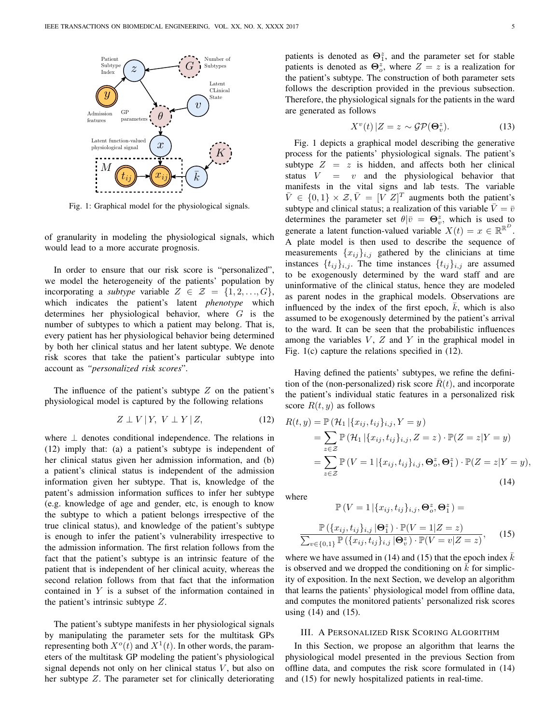

Fig. 1: Graphical model for the physiological signals.

of granularity in modeling the physiological signals, which would lead to a more accurate prognosis.

In order to ensure that our risk score is "personalized", we model the heterogeneity of the patients' population by incorporating a *subtype* variable  $Z \in \mathcal{Z} = \{1, 2, ..., G\}$ , which indicates the patient's latent *phenotype* which determines her physiological behavior, where *G* is the number of subtypes to which a patient may belong. That is, every patient has her physiological behavior being determined by both her clinical status and her latent subtype. We denote risk scores that take the patient's particular subtype into account as *"personalized risk scores*".

The influence of the patient's subtype *Z* on the patient's physiological model is captured by the following relations

$$
Z \perp V | Y, V \perp Y | Z, \tag{12}
$$

where *⊥* denotes conditional independence. The relations in (12) imply that: (a) a patient's subtype is independent of her clinical status given her admission information, and (b) a patient's clinical status is independent of the admission information given her subtype. That is, knowledge of the patent's admission information suffices to infer her subtype (e.g. knowledge of age and gender, etc, is enough to know the subtype to which a patient belongs irrespective of the true clinical status), and knowledge of the patient's subtype is enough to infer the patient's vulnerability irrespective to the admission information. The first relation follows from the fact that the patient's subtype is an intrinsic feature of the patient that is independent of her clinical acuity, whereas the second relation follows from that fact that the information contained in *Y* is a subset of the information contained in the patient's intrinsic subtype *Z*.

The patient's subtype manifests in her physiological signals by manipulating the parameter sets for the multitask GPs representing both  $X^o(t)$  and  $X^1(t)$ . In other words, the parameters of the multitask GP modeling the patient's physiological signal depends not only on her clinical status  $V$ , but also on her subtype *Z*. The parameter set for clinically deteriorating

patients is denoted as  $\Theta_1^z$ , and the parameter set for stable patients is denoted as  $\Theta_o^z$ , where  $Z = z$  is a realization for the patient's subtype. The construction of both parameter sets follows the description provided in the previous subsection. Therefore, the physiological signals for the patients in the ward are generated as follows

$$
X^v(t) | Z = z \sim \mathcal{GP}(\mathbf{\Theta}_v^z). \tag{13}
$$

Fig. 1 depicts a graphical model describing the generative process for the patients' physiological signals. The patient's subtype  $Z = z$  is hidden, and affects both her clinical status  $V = v$  and the physiological behavior that manifests in the vital signs and lab tests. The variable  $\bar{V} \in \{0, 1\} \times \mathcal{Z}, \bar{V} = [V \ Z]^T$  augments both the patient's subtype and clinical status; a realization of this variable  $\bar{V} = \bar{v}$ determines the parameter set  $\theta | \bar{v} = \Theta_v^z$ , which is used to generate a latent function-valued variable  $X(t) = x \in \mathbb{R}^{\mathbb{R}^D}$ . A plate model is then used to describe the sequence of measurements  ${x_{ij}}_{i,j}$  gathered by the clinicians at time instances  $\{t_{ij}\}_{i,j}$ . The time instances  $\{t_{ij}\}_{i,j}$  are assumed to be exogenously determined by the ward staff and are uninformative of the clinical status, hence they are modeled as parent nodes in the graphical models. Observations are influenced by the index of the first epoch,  $k$ , which is also assumed to be exogenously determined by the patient's arrival to the ward. It can be seen that the probabilistic influences among the variables  $V$ ,  $Z$  and  $Y$  in the graphical model in Fig. 1(c) capture the relations specified in (12).

Having defined the patients' subtypes, we refine the definition of the (non-personalized) risk score  $R(t)$ , and incorporate the patient's individual static features in a personalized risk score  $R(t, y)$  as follows

$$
R(t, y) = \mathbb{P}(\mathcal{H}_1 | \{x_{ij}, t_{ij}\}_{i,j}, Y = y)
$$
  
= 
$$
\sum_{z \in \mathcal{Z}} \mathbb{P}(\mathcal{H}_1 | \{x_{ij}, t_{ij}\}_{i,j}, Z = z) \cdot \mathbb{P}(Z = z | Y = y)
$$
  
= 
$$
\sum_{z \in \mathcal{Z}} \mathbb{P}(V = 1 | \{x_{ij}, t_{ij}\}_{i,j}, \Theta_o^z, \Theta_1^z) \cdot \mathbb{P}(Z = z | Y = y),
$$
  
(14)

where

$$
\mathbb{P}\left(V=1 | \{x_{ij}, t_{ij}\}_{i,j}, \mathbf{\Theta}_{o}^{z}, \mathbf{\Theta}_{1}^{z}\right) =
$$
\n
$$
\frac{\mathbb{P}\left(\{x_{ij}, t_{ij}\}_{i,j} | \mathbf{\Theta}_{1}^{z}\right) \cdot \mathbb{P}(V=1 | Z=z)}{\sum_{v \in \{0,1\}} \mathbb{P}\left(\{x_{ij}, t_{ij}\}_{i,j} | \mathbf{\Theta}_{v}^{z}\right) \cdot \mathbb{P}(V=v | Z=z)},
$$
\n(15)

where we have assumed in (14) and (15) that the epoch index  $\bar{k}$ is observed and we dropped the conditioning on  $k$  for simplicity of exposition. In the next Section, we develop an algorithm that learns the patients' physiological model from offline data, and computes the monitored patients' personalized risk scores using (14) and (15).

#### III. A PERSONALIZED RISK SCORING ALGORITHM

In this Section, we propose an algorithm that learns the physiological model presented in the previous Section from offline data, and computes the risk score formulated in (14) and (15) for newly hospitalized patients in real-time.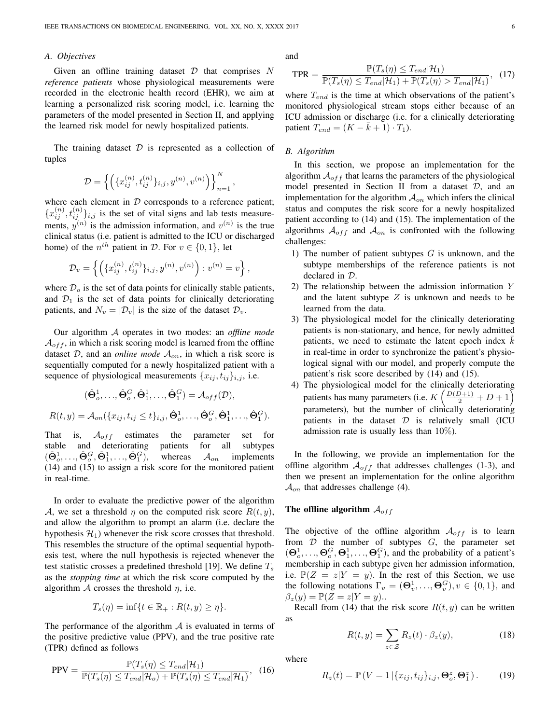## *A. Objectives*

Given an offline training dataset *D* that comprises *N reference patients* whose physiological measurements were recorded in the electronic health record (EHR), we aim at learning a personalized risk scoring model, i.e. learning the parameters of the model presented in Section II, and applying the learned risk model for newly hospitalized patients.

The training dataset *D* is represented as a collection of tuples

$$
\mathcal{D} = \left\{ \left( \{x_{ij}^{(n)}, t_{ij}^{(n)}\}_{i,j}, y^{(n)}, v^{(n)} \right) \right\}_{n=1}^{N},
$$

where each element in *D* corresponds to a reference patient;  ${x_{ij}^{(n)}, t_{ij}^{(n)} }$ , *i* is the set of vital signs and lab tests measurements,  $y^{(n)}$  is the admission information, and  $v^{(n)}$  is the true clinical status (i.e. patient is admitted to the ICU or discharged home) of the  $n^{th}$  patient in *D*. For  $v \in \{0, 1\}$ , let

$$
\mathcal{D}_v = \left\{ \left( \{x_{ij}^{(n)}, t_{ij}^{(n)}\}_{i,j}, y^{(n)}, v^{(n)} \right) : v^{(n)} = v \right\}
$$

where  $\mathcal{D}_o$  is the set of data points for clinically stable patients, and  $\mathcal{D}_1$  is the set of data points for clinically deteriorating patients, and  $N_v = |\mathcal{D}_v|$  is the size of the dataset  $\mathcal{D}_v$ .

Our algorithm *A* operates in two modes: an *offline mode*  $A_{off}$ , in which a risk scoring model is learned from the offline dataset *D*, and an *online mode*  $A_{on}$ , in which a risk score is sequentially computed for a newly hospitalized patient with a sequence of physiological measurements  $\{x_{ij}, t_{ij}\}_{i,j}$ , i.e.

$$
(\hat{\Theta}_o^1, \dots, \hat{\Theta}_o^G, \hat{\Theta}_1^1, \dots, \hat{\Theta}_1^G) = \mathcal{A}_{off}(\mathcal{D}),
$$
  

$$
R(t, y) = \mathcal{A}_{on}(\{x_{ij}, t_{ij} \le t\}_{i,j}, \hat{\Theta}_o^1, \dots, \hat{\Theta}_o^G, \hat{\Theta}_1^1, \dots, \hat{\Theta}_1^G).
$$

That is,  $A_{off}$  estimates the parameter set for stable and deteriorating patients for all subtypes  $(\hat{\Theta}_o^1, \ldots, \hat{\Theta}_o^G, \hat{\Theta}_1^1, \ldots, \hat{\Theta}_1^G)$ , whereas  $\mathcal{A}_{on}$  implements (14) and (15) to assign a risk score for the monitored patient in real-time.

In order to evaluate the predictive power of the algorithm *A*, we set a threshold  $\eta$  on the computed risk score  $R(t, y)$ , and allow the algorithm to prompt an alarm (i.e. declare the hypothesis  $\mathcal{H}_1$ ) whenever the risk score crosses that threshold. This resembles the structure of the optimal sequential hypothesis test, where the null hypothesis is rejected whenever the test statistic crosses a predefined threshold [19]. We define *T<sup>s</sup>* as the *stopping time* at which the risk score computed by the algorithm *A* crosses the threshold  $\eta$ , i.e.

$$
T_s(\eta) = \inf\{t \in \mathbb{R}_+ : R(t, y) \ge \eta\}.
$$

The performance of the algorithm  $A$  is evaluated in terms of the positive predictive value (PPV), and the true positive rate (TPR) defined as follows

$$
PPV = \frac{\mathbb{P}(T_s(\eta) \le T_{end}|\mathcal{H}_1)}{\mathbb{P}(T_s(\eta) \le T_{end}|\mathcal{H}_o) + \mathbb{P}(T_s(\eta) \le T_{end}|\mathcal{H}_1)},
$$
(16)

and

$$
\text{TPR} = \frac{\mathbb{P}(T_s(\eta) \le T_{end}|\mathcal{H}_1)}{\mathbb{P}(T_s(\eta) \le T_{end}|\mathcal{H}_1) + \mathbb{P}(T_s(\eta) > T_{end}|\mathcal{H}_1)},\tag{17}
$$

where *Tend* is the time at which observations of the patient's monitored physiological stream stops either because of an ICU admission or discharge (i.e. for a clinically deteriorating *patient*  $T_{end} = (K - k + 1) \cdot T_1$ .

#### *B. Algorithm*

*,*

In this section, we propose an implementation for the algorithm  $A_{off}$  that learns the parameters of the physiological model presented in Section II from a dataset *D*, and an implementation for the algorithm  $A_{on}$  which infers the clinical status and computes the risk score for a newly hospitalized patient according to (14) and (15). The implementation of the algorithms  $A_{off}$  and  $A_{on}$  is confronted with the following challenges:

- 1) The number of patient subtypes *G* is unknown, and the subtype memberships of the reference patients is not declared in *D*.
- 2) The relationship between the admission information *Y* and the latent subtype *Z* is unknown and needs to be learned from the data.
- 3) The physiological model for the clinically deteriorating patients is non-stationary, and hence, for newly admitted patients, we need to estimate the latent epoch index  $\overline{k}$ in real-time in order to synchronize the patient's physiological signal with our model, and properly compute the patient's risk score described by (14) and (15).
- 4) The physiological model for the clinically deteriorating patients has many parameters (i.e.  $K\left(\frac{D(D+1)}{2} + D + 1\right)$ parameters), but the number of clinically deteriorating patients in the dataset  $D$  is relatively small (ICU) admission rate is usually less than 10%).

In the following, we provide an implementation for the offline algorithm  $A_{off}$  that addresses challenges (1-3), and then we present an implementation for the online algorithm *Aon* that addresses challenge (4).

## The offline algorithm  $A_{off}$

The objective of the offline algorithm  $A_{off}$  is to learn from  $D$  the number of subtypes  $G$ , the parameter set  $(\mathbf{\Theta}_o^1, \ldots, \mathbf{\Theta}_o^G, \mathbf{\Theta}_1^1, \ldots, \mathbf{\Theta}_1^G)$ , and the probability of a patient's membership in each subtype given her admission information, i.e.  $\mathbb{P}(Z = z | Y = y)$ . In the rest of this Section, we use the following notations  $\Gamma_v = (\mathbf{\Theta}_v^1, \dots, \mathbf{\Theta}_v^G), v \in \{0, 1\}$ , and  $\beta_z(y) = \mathbb{P}(Z = z | Y = y).$ 

Recall from (14) that the risk score  $R(t, y)$  can be written as

$$
R(t, y) = \sum_{z \in \mathcal{Z}} R_z(t) \cdot \beta_z(y), \qquad (18)
$$

where

$$
R_z(t) = \mathbb{P}(V = 1 | \{x_{ij}, t_{ij}\}_{i,j}, \Theta_o^z, \Theta_1^z).
$$
 (19)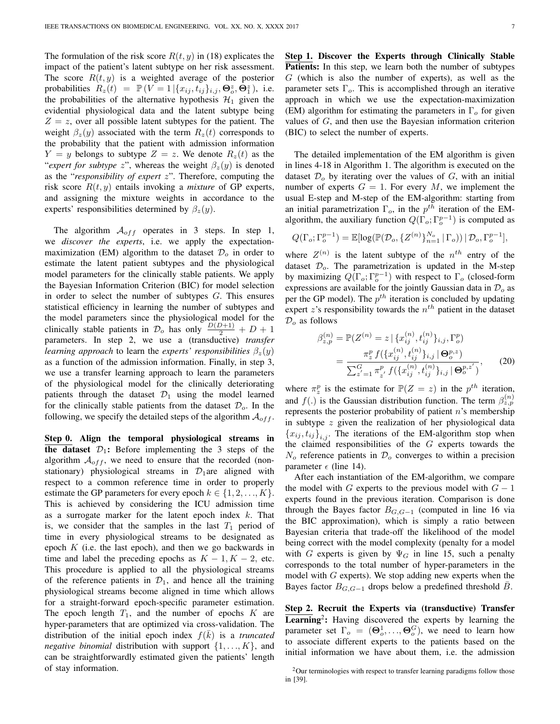The formulation of the risk score  $R(t, y)$  in (18) explicates the impact of the patient's latent subtype on her risk assessment. The score  $R(t, y)$  is a weighted average of the posterior probabilities  $R_z(t) = \mathbb{P}(V = 1 | \{x_{ij}, t_{ij}\}_{i,j}, \Theta_o^z, \Theta_1^z)$ , i.e. the probabilities of the alternative hypothesis  $\mathcal{H}_1$  given the evidential physiological data and the latent subtype being  $Z = z$ , over all possible latent subtypes for the patient. The weight  $\beta_z(y)$  associated with the term  $R_z(t)$  corresponds to the probability that the patient with admission information  $Y = y$  belongs to subtype  $Z = z$ . We denote  $R_z(t)$  as the "*expert for subtype z*", whereas the weight  $\beta_z(y)$  is denoted as the "*responsibility of expert z*". Therefore, computing the risk score *R*(*t, y*) entails invoking a *mixture* of GP experts, and assigning the mixture weights in accordance to the experts' responsibilities determined by  $\beta_z(y)$ .

The algorithm  $A_{off}$  operates in 3 steps. In step 1, we *discover the experts*, i.e. we apply the expectationmaximization (EM) algorithm to the dataset  $\mathcal{D}_o$  in order to estimate the latent patient subtypes and the physiological model parameters for the clinically stable patients. We apply the Bayesian Information Criterion (BIC) for model selection in order to select the number of subtypes *G*. This ensures statistical efficiency in learning the number of subtypes and the model parameters since the physiological model for the clinically stable patients in  $\mathcal{D}_o$  has only  $\frac{D(D+1)}{2} + D + 1$ parameters. In step 2, we use a (transductive) *transfer learning approach* to learn the *experts' responsibilities*  $\beta_z(y)$ as a function of the admission information. Finally, in step 3, we use a transfer learning approach to learn the parameters of the physiological model for the clinically deteriorating patients through the dataset  $\mathcal{D}_1$  using the model learned for the clinically stable patients from the dataset *Do*. In the following, we specify the detailed steps of the algorithm  $A_{off}$ .

Step 0. Align the temporal physiological streams in the dataset  $\mathcal{D}_1$ : Before implementing the 3 steps of the algorithm  $A_{off}$ , we need to ensure that the recorded (nonstationary) physiological streams in  $\mathcal{D}_1$ are aligned with respect to a common reference time in order to properly estimate the GP parameters for every epoch  $k \in \{1, 2, ..., K\}$ . This is achieved by considering the ICU admission time as a surrogate marker for the latent epoch index *k*. That is, we consider that the samples in the last  $T_1$  period of time in every physiological streams to be designated as epoch *K* (i.e. the last epoch), and then we go backwards in time and label the preceding epochs as  $K - 1, K - 2$ , etc. This procedure is applied to all the physiological streams of the reference patients in  $\mathcal{D}_1$ , and hence all the training physiological streams become aligned in time which allows for a straight-forward epoch-specific parameter estimation. The epoch length  $T_1$ , and the number of epochs  $K$  are hyper-parameters that are optimized via cross-validation. The distribution of the initial epoch index  $f(\bar{k})$  is a *truncated negative binomial* distribution with support *{*1*, . . ., K}*, and can be straightforwardly estimated given the patients' length of stay information.

Step 1. Discover the Experts through Clinically Stable Patients: In this step, we learn both the number of subtypes *G* (which is also the number of experts), as well as the parameter sets Γ*o*. This is accomplished through an iterative approach in which we use the expectation-maximization (EM) algorithm for estimating the parameters in Γ*<sup>o</sup>* for given values of *G*, and then use the Bayesian information criterion (BIC) to select the number of experts.

The detailed implementation of the EM algorithm is given in lines 4-18 in Algorithm 1. The algorithm is executed on the dataset  $\mathcal{D}_o$  by iterating over the values of  $G$ , with an initial number of experts  $G = 1$ . For every M, we implement the usual E-step and M-step of the EM-algorithm: starting from an initial parametrization Γ*o*, in the *p th* iteration of the EMalgorithm, the auxiliary function  $Q(\Gamma_o; \Gamma_o^{p-1})$  is computed as

$$
Q(\Gamma_o; \Gamma_o^{p-1}) = \mathbb{E}[\log(\mathbb{P}(\mathcal{D}_o, \{Z^{(n)}\}_{n=1}^N | \Gamma_o)) | \mathcal{D}_o, \Gamma_o^{p-1}],
$$

where  $Z^{(n)}$  is the latent subtype of the  $n^{th}$  entry of the dataset *Do*. The parametrization is updated in the M-step by maximizing  $Q(\Gamma_o; \Gamma_o^{p-1})$  with respect to  $\Gamma_o$  (closed-form expressions are available for the jointly Gaussian data in *D<sup>o</sup>* as per the GP model). The *p th* iteration is concluded by updating expert *z*'s responsibility towards the *n th* patient in the dataset *D<sup>o</sup>* as follows

$$
\beta_{z,p}^{(n)} = \mathbb{P}(Z^{(n)} = z \mid \{x_{ij}^{(n)}, t_{ij}^{(n)}\}_{i,j}, \Gamma_o^p)
$$
  
= 
$$
\frac{\pi_z^p f(\{x_{ij}^{(n)}, t_{ij}^{(n)}\}_{i,j} \mid \mathbf{\Theta}_o^{p,z})}{\sum_{z'=1}^G \pi_{z'}^p f(\{x_{ij}^{(n)}, t_{ij}^{(n)}\}_{i,j} \mid \mathbf{\Theta}_o^{p,z'}}, \qquad (20)
$$

where  $\pi^p_z$  is the estimate for  $\mathbb{P}(Z = z)$  in the  $p^{th}$  iteration, and  $f(.)$  is the Gaussian distribution function. The term  $\beta_{z,p}^{(n)}$ represents the posterior probability of patient *n*'s membership in subtype *z* given the realization of her physiological data  ${x_{ij}, t_{ij}}$ , The iterations of the EM-algorithm stop when the claimed responsibilities of the *G* experts towards the  $N<sub>o</sub>$  reference patients in  $\mathcal{D}<sub>o</sub>$  converges to within a precision parameter  $\epsilon$  (line 14).

After each instantiation of the EM-algorithm, we compare the model with *G* experts to the previous model with  $G - 1$ experts found in the previous iteration. Comparison is done through the Bayes factor *BG,G−*<sup>1</sup> (computed in line 16 via the BIC approximation), which is simply a ratio between Bayesian criteria that trade-off the likelihood of the model being correct with the model complexity (penalty for a model with *G* experts is given by  $\Psi_G$  in line 15, such a penalty corresponds to the total number of hyper-parameters in the model with *G* experts). We stop adding new experts when the Bayes factor  $B_{G,G-1}$  drops below a predefined threshold *B*.

Step 2. Recruit the Experts via (transductive) Transfer Learning<sup>2</sup>: Having discovered the experts by learning the parameter set  $\Gamma_o = (\mathbf{\Theta}_o^1, \dots, \mathbf{\Theta}_o^G)$ , we need to learn how to associate different experts to the patients based on the initial information we have about them, i.e. the admission

<sup>&</sup>lt;sup>2</sup>Our terminologies with respect to transfer learning paradigms follow those in [39].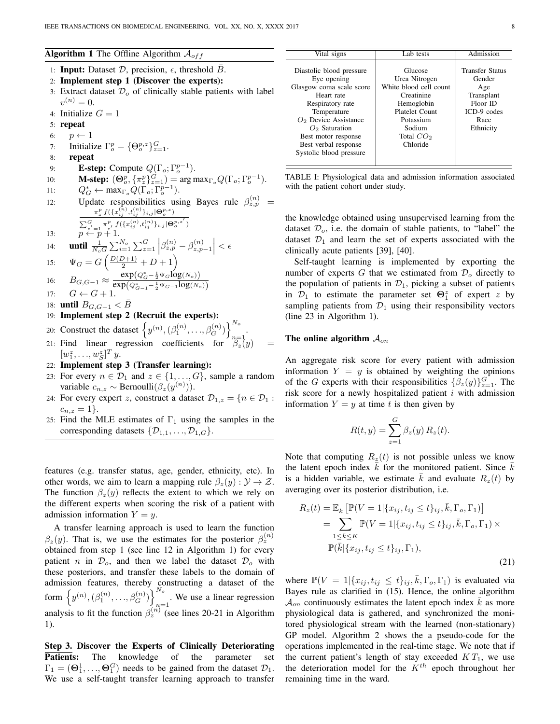Algorithm 1 The Offline Algorithm *Aoff*

|     | 1: Input: Dataset $D$ , precision, $\epsilon$ , threshold $B$ .                                                                                                                                                                                                                        |
|-----|----------------------------------------------------------------------------------------------------------------------------------------------------------------------------------------------------------------------------------------------------------------------------------------|
|     | 2: Implement step 1 (Discover the experts):                                                                                                                                                                                                                                            |
|     | 3: Extract dataset $\mathcal{D}_{o}$ of clinically stable patients with label                                                                                                                                                                                                          |
|     | $v^{(n)} = 0.$                                                                                                                                                                                                                                                                         |
| 4:  | Initialize $G = 1$                                                                                                                                                                                                                                                                     |
| 5:  | repeat                                                                                                                                                                                                                                                                                 |
| 6:  | $p \leftarrow 1$                                                                                                                                                                                                                                                                       |
| 7:  | Initialize $\Gamma_o^p = {\Theta_o^{p,z}}_{z=1}^G$ .                                                                                                                                                                                                                                   |
| 8:  | repeat                                                                                                                                                                                                                                                                                 |
| 9:  | <b>E-step:</b> Compute $Q(\Gamma_o; \Gamma_o^{p-1})$ .                                                                                                                                                                                                                                 |
| 10: | <b>M-step:</b> $(\mathbf{\Theta}_{o}^{p}, \{\pi_{z}^{p}\}_{z=1}^{G}) = \arg \max_{\Gamma_{o}} Q(\Gamma_{o}; \Gamma_{o}^{p-1}).$                                                                                                                                                        |
| 11: | $Q_G^* \leftarrow \max_{\Gamma_o} Q(\Gamma_o; \Gamma_o^{p-1}).$                                                                                                                                                                                                                        |
| 12: | Update responsibilities using Bayes rule $\beta_{z,p}^{(n)}$ =<br>$\frac{\pi_{z}^{p} f(\{x_{ij}^{(n)}, t_{ij}^{(n)}\}_{i,j}   \mathbf{\Theta}_{o}^{p,z})}{\sum_{z^{'}=1}^{G} \pi_{z}^{p} f(\{x_{ij}^{(n)}, t_{ij}^{(n)}\}_{i,j}   \mathbf{\Theta}_{o}^{p,z^{'}})} p \leftarrow p + 1.$ |
|     |                                                                                                                                                                                                                                                                                        |
|     |                                                                                                                                                                                                                                                                                        |
| 13: | <b>until</b> $\frac{1}{N_o G} \sum_{i=1}^{N_o} \sum_{z=1}^{G} \left  \beta_{z,p}^{(n)} - \beta_{z,p-1}^{(n)} \right  < \epsilon$                                                                                                                                                       |
| 14: |                                                                                                                                                                                                                                                                                        |
| 15: | $\Psi_G = G\left(\frac{D(D+1)}{2} + D + 1\right)$                                                                                                                                                                                                                                      |
| 16: | $B_{G,G-1} \approx \frac{\exp(Q_G^* - \frac{1}{2} \Psi_G \log(N_o))}{\exp(Q_{G-1}^* - \frac{1}{2} \Psi_{G-1} \log(N_o))}$                                                                                                                                                              |
| 17: | $G \leftarrow G + 1.$                                                                                                                                                                                                                                                                  |
| 18: | until $B_{G,G-1} < B$                                                                                                                                                                                                                                                                  |
| 19: | Implement step 2 (Recruit the experts):                                                                                                                                                                                                                                                |
|     | 20: Construct the dataset $\left\{y^{(n)}, (\beta_1^{(n)}, , \beta_G^{(n)})\right\}_{n=1}^{N_o}$ .                                                                                                                                                                                     |
|     | linear regression coefficients for $\overline{\beta_z}(y)$<br>21: Find                                                                                                                                                                                                                 |
|     | $[w_1^z, \ldots, w_S^z]^T y.$                                                                                                                                                                                                                                                          |
|     | 22: Implement step 3 (Transfer learning):                                                                                                                                                                                                                                              |
|     | 23: For every $n \in \mathcal{D}_1$ and $z \in \{1, , G\}$ , sample a random                                                                                                                                                                                                           |
|     | variable $c_{n,z} \sim \text{Bernoulli}(\beta_z(y^{(n)})).$                                                                                                                                                                                                                            |
|     | 24: For every expert z, construct a dataset $\mathcal{D}_{1,z} = \{n \in \mathcal{D}_1 :$                                                                                                                                                                                              |
|     | $c_{n,z}=1$ .                                                                                                                                                                                                                                                                          |
|     |                                                                                                                                                                                                                                                                                        |

25: Find the MLE estimates of  $\Gamma_1$  using the samples in the corresponding datasets  $\{\mathcal{D}_{1,1}, \ldots, \mathcal{D}_{1,G}\}.$ 

features (e.g. transfer status, age, gender, ethnicity, etc). In other words, we aim to learn a mapping rule  $\beta_z(y) : \mathcal{Y} \to \mathcal{Z}$ . The function  $\beta_z(y)$  reflects the extent to which we rely on the different experts when scoring the risk of a patient with admission information  $Y = y$ .

A transfer learning approach is used to learn the function  $\beta_z(y)$ . That is, we use the estimates for the posterior  $\beta_z^{(n)}$ obtained from step 1 (see line 12 in Algorithm 1) for every patient *n* in  $\mathcal{D}_o$ , and then we label the dataset  $\mathcal{D}_o$  with these posteriors, and transfer these labels to the domain of admission features, thereby constructing a dataset of the form  $\left\{y^{(n)},(\beta_1^{(n)},\ldots,\beta_G^{(n)})\right\}_{n=1}^{N_o}$ . We use a linear regression analysis to fit the function  $\beta_z^{(n)}$  (see lines 20-21 in Algorithm 1).

Step 3. Discover the Experts of Clinically Deteriorating Patients: The knowledge of the parameter set  $\Gamma_1 = (\mathbf{\Theta}_1^1, \dots, \mathbf{\Theta}_1^G)$  needs to be gained from the dataset  $\mathcal{D}_1$ . We use a self-taught transfer learning approach to transfer

| Vital signs              | Lab tests              | Admission              |
|--------------------------|------------------------|------------------------|
|                          |                        |                        |
| Diastolic blood pressure | Glucose                | <b>Transfer Status</b> |
| Eye opening              | Urea Nitrogen          | Gender                 |
| Glasgow coma scale score | White blood cell count | Age                    |
| Heart rate               | Creatinine             | Transplant             |
| Respiratory rate         | Hemoglobin             | Floor ID               |
| Temperature              | <b>Platelet Count</b>  | ICD-9 codes            |
| $O2$ Device Assistance   | Potassium              | Race                   |
| $O2$ Saturation          | Sodium                 | Ethnicity              |
| Best motor response      | Total $CO2$            |                        |
| Best verbal response     | Chloride               |                        |
| Systolic blood pressure  |                        |                        |
|                          |                        |                        |

TABLE I: Physiological data and admission information associated with the patient cohort under study.

the knowledge obtained using unsupervised learning from the dataset  $\mathcal{D}_o$ , i.e. the domain of stable patients, to "label" the dataset  $\mathcal{D}_1$  and learn the set of experts associated with the clinically acute patients [39], [40].

Self-taught learning is implemented by exporting the number of experts *G* that we estimated from *D<sup>o</sup>* directly to the population of patients in  $\mathcal{D}_1$ , picking a subset of patients in  $\mathcal{D}_1$  to estimate the parameter set  $\Theta_1^z$  of expert *z* by sampling patients from  $\mathcal{D}_1$  using their responsibility vectors (line 23 in Algorithm 1).

## The online algorithm *Aon*

An aggregate risk score for every patient with admission information  $Y = y$  is obtained by weighting the opinions of the *G* experts with their responsibilities  $\{\beta_z(y)\}_{z=1}^G$ . The risk score for a newly hospitalized patient *i* with admission information  $Y = y$  at time  $t$  is then given by

$$
R(t, y) = \sum_{z=1}^{G} \beta_z(y) R_z(t).
$$

Note that computing  $R_z(t)$  is not possible unless we know the latent epoch index  $\overline{k}$  for the monitored patient. Since  $\overline{k}$ is a hidden variable, we estimate  $\overline{k}$  and evaluate  $R_z(t)$  by averaging over its posterior distribution, i.e.

$$
R_z(t) = \mathbb{E}_{\bar{k}} \left[ \mathbb{P}(V = 1 | \{x_{ij}, t_{ij} \le t\}_{ij}, \bar{k}, \Gamma_o, \Gamma_1) \right]
$$
  
= 
$$
\sum_{1 \le \bar{k} \le K} \mathbb{P}(V = 1 | \{x_{ij}, t_{ij} \le t\}_{ij}, \bar{k}, \Gamma_o, \Gamma_1) \times
$$
  

$$
\mathbb{P}(\bar{k} | \{x_{ij}, t_{ij} \le t\}_{ij}, \Gamma_1),
$$
 (21)

where  $\mathbb{P}(V = 1 | \{x_{ij}, t_{ij} \leq t\}_{ij}, \overline{k}, \Gamma_o, \Gamma_1)$  is evaluated via Bayes rule as clarified in (15). Hence, the online algorithm  $\mathcal{A}_{on}$  continuously estimates the latent epoch index  $\overline{k}$  as more physiological data is gathered, and synchronized the monitored physiological stream with the learned (non-stationary) GP model. Algorithm 2 shows the a pseudo-code for the operations implemented in the real-time stage. We note that if the current patient's length of stay exceeded  $KT_1$ , we use the deterioration model for the *Kth* epoch throughout her remaining time in the ward.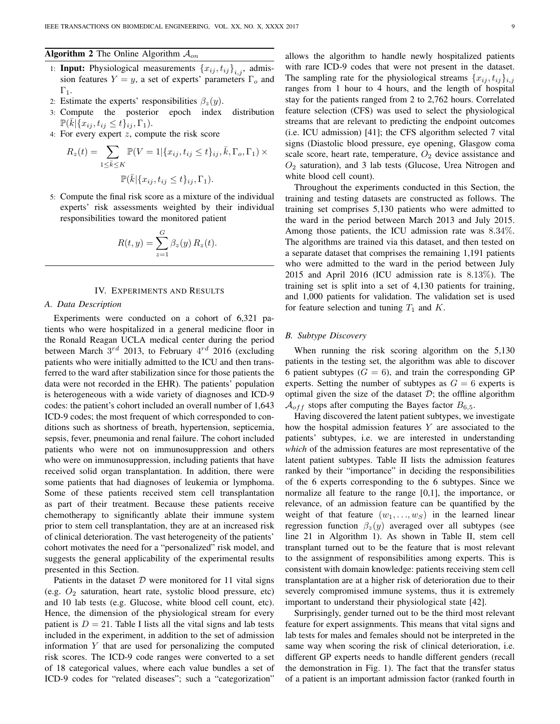## Algorithm 2 The Online Algorithm *Aon*

- 1: **Input:** Physiological measurements  ${x_{ij}, t_{ij}}_{i,j}$ , admission features  $Y = y$ , a set of experts' parameters  $\Gamma_o$  and  $\Gamma_1$ .
- 2: Estimate the experts' responsibilities  $\beta_z(y)$ .
- 3: Compute the posterior epoch index distribution  $\mathbb{P}(\bar{k} | \{x_{ij}, t_{ij} \leq t\}_{ij}, \Gamma_1).$
- 4: For every expert *z*, compute the risk score

$$
R_z(t) = \sum_{1 \leq \bar{k} \leq K} \mathbb{P}(V = 1 | \{x_{ij}, t_{ij} \leq t\}_{ij}, \bar{k}, \Gamma_o, \Gamma_1) \times \mathbb{P}(\bar{k} | \{x_{ij}, t_{ij} \leq t\}_{ij}, \Gamma_1).
$$

5: Compute the final risk score as a mixture of the individual experts' risk assessments weighted by their individual responsibilities toward the monitored patient

$$
R(t, y) = \sum_{z=1}^{G} \beta_z(y) R_z(t).
$$

## IV. EXPERIMENTS AND RESULTS

### *A. Data Description*

Experiments were conducted on a cohort of 6,321 patients who were hospitalized in a general medicine floor in the Ronald Reagan UCLA medical center during the period between March 3 *rd* 2013, to February 4 *rd* 2016 (excluding patients who were initially admitted to the ICU and then transferred to the ward after stabilization since for those patients the data were not recorded in the EHR). The patients' population is heterogeneous with a wide variety of diagnoses and ICD-9 codes: the patient's cohort included an overall number of 1,643 ICD-9 codes; the most frequent of which corresponded to conditions such as shortness of breath, hypertension, septicemia, sepsis, fever, pneumonia and renal failure. The cohort included patients who were not on immunosuppression and others who were on immunosuppression, including patients that have received solid organ transplantation. In addition, there were some patients that had diagnoses of leukemia or lymphoma. Some of these patients received stem cell transplantation as part of their treatment. Because these patients receive chemotherapy to significantly ablate their immune system prior to stem cell transplantation, they are at an increased risk of clinical deterioration. The vast heterogeneity of the patients' cohort motivates the need for a "personalized" risk model, and suggests the general applicability of the experimental results presented in this Section.

Patients in the dataset *D* were monitored for 11 vital signs (e.g. *O*<sup>2</sup> saturation, heart rate, systolic blood pressure, etc) and 10 lab tests (e.g. Glucose, white blood cell count, etc). Hence, the dimension of the physiological stream for every patient is  $D = 21$ . Table I lists all the vital signs and lab tests included in the experiment, in addition to the set of admission information *Y* that are used for personalizing the computed risk scores. The ICD-9 code ranges were converted to a set of 18 categorical values, where each value bundles a set of ICD-9 codes for "related diseases"; such a "categorization"

allows the algorithm to handle newly hospitalized patients with rare ICD-9 codes that were not present in the dataset. The sampling rate for the physiological streams  $\{x_{ij}, t_{ij}\}_{i,j}$ ranges from 1 hour to 4 hours, and the length of hospital stay for the patients ranged from 2 to 2,762 hours. Correlated feature selection (CFS) was used to select the physiological streams that are relevant to predicting the endpoint outcomes (i.e. ICU admission) [41]; the CFS algorithm selected 7 vital signs (Diastolic blood pressure, eye opening, Glasgow coma scale score, heart rate, temperature,  $O_2$  device assistance and *O*<sup>2</sup> saturation), and 3 lab tests (Glucose, Urea Nitrogen and white blood cell count).

Throughout the experiments conducted in this Section, the training and testing datasets are constructed as follows. The training set comprises 5,130 patients who were admitted to the ward in the period between March 2013 and July 2015. Among those patients, the ICU admission rate was 8*.*34%. The algorithms are trained via this dataset, and then tested on a separate dataset that comprises the remaining 1,191 patients who were admitted to the ward in the period between July 2015 and April 2016 (ICU admission rate is 8*.*13%). The training set is split into a set of 4,130 patients for training, and 1,000 patients for validation. The validation set is used for feature selection and tuning  $T_1$  and  $K$ .

## *B. Subtype Discovery*

When running the risk scoring algorithm on the 5,130 patients in the testing set, the algorithm was able to discover 6 patient subtypes  $(G = 6)$ , and train the corresponding GP experts. Setting the number of subtypes as  $G = 6$  experts is optimal given the size of the dataset  $D$ ; the offline algorithm  $A_{off}$  stops after computing the Bayes factor  $B_{6,5}$ .

Having discovered the latent patient subtypes, we investigate how the hospital admission features *Y* are associated to the patients' subtypes, i.e. we are interested in understanding *which* of the admission features are most representative of the latent patient subtypes. Table II lists the admission features ranked by their "importance" in deciding the responsibilities of the 6 experts corresponding to the 6 subtypes. Since we normalize all feature to the range [0,1], the importance, or relevance, of an admission feature can be quantified by the weight of that feature  $(w_1, \ldots, w_S)$  in the learned linear regression function  $\beta_z(y)$  averaged over all subtypes (see line 21 in Algorithm 1). As shown in Table II, stem cell transplant turned out to be the feature that is most relevant to the assignment of responsibilities among experts. This is consistent with domain knowledge: patients receiving stem cell transplantation are at a higher risk of deterioration due to their severely compromised immune systems, thus it is extremely important to understand their physiological state [42].

Surprisingly, gender turned out to be the third most relevant feature for expert assignments. This means that vital signs and lab tests for males and females should not be interpreted in the same way when scoring the risk of clinical deterioration, i.e. different GP experts needs to handle different genders (recall the demonstration in Fig. 1). The fact that the transfer status of a patient is an important admission factor (ranked fourth in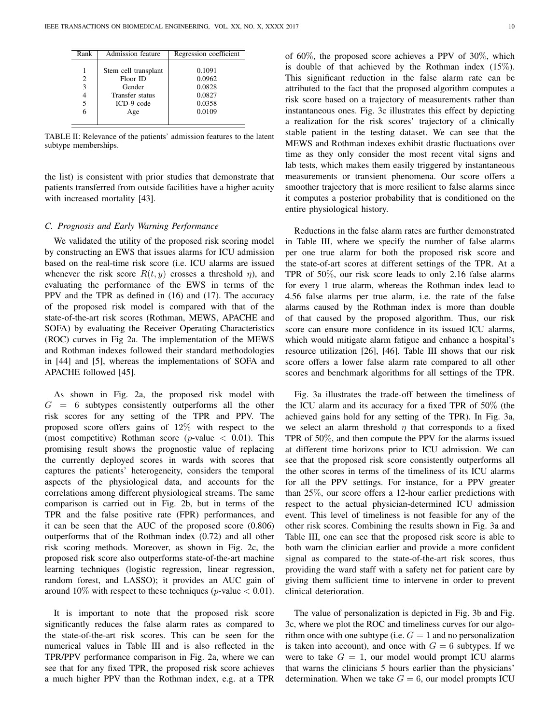| Rank | Admission feature    | Regression coefficient |
|------|----------------------|------------------------|
|      |                      |                        |
|      | Stem cell transplant | 0.1091                 |
| 2    | Floor ID             | 0.0962                 |
| 3    | Gender               | 0.0828                 |
| 4    | Transfer status      | 0.0827                 |
| 5    | ICD-9 code           | 0.0358                 |
| 6    | Age                  | 0.0109                 |
|      |                      |                        |

TABLE II: Relevance of the patients' admission features to the latent subtype memberships.

the list) is consistent with prior studies that demonstrate that patients transferred from outside facilities have a higher acuity with increased mortality [43].

#### *C. Prognosis and Early Warning Performance*

We validated the utility of the proposed risk scoring model by constructing an EWS that issues alarms for ICU admission based on the real-time risk score (i.e. ICU alarms are issued whenever the risk score  $R(t, y)$  crosses a threshold  $\eta$ ), and evaluating the performance of the EWS in terms of the PPV and the TPR as defined in (16) and (17). The accuracy of the proposed risk model is compared with that of the state-of-the-art risk scores (Rothman, MEWS, APACHE and SOFA) by evaluating the Receiver Operating Characteristics (ROC) curves in Fig 2a. The implementation of the MEWS and Rothman indexes followed their standard methodologies in [44] and [5], whereas the implementations of SOFA and APACHE followed [45].

As shown in Fig. 2a, the proposed risk model with  $G = 6$  subtypes consistently outperforms all the other risk scores for any setting of the TPR and PPV. The proposed score offers gains of 12% with respect to the (most competitive) Rothman score (*p*-value *<* 0.01). This promising result shows the prognostic value of replacing the currently deployed scores in wards with scores that captures the patients' heterogeneity, considers the temporal aspects of the physiological data, and accounts for the correlations among different physiological streams. The same comparison is carried out in Fig. 2b, but in terms of the TPR and the false positive rate (FPR) performances, and it can be seen that the AUC of the proposed score (0.806) outperforms that of the Rothman index (0.72) and all other risk scoring methods. Moreover, as shown in Fig. 2c, the proposed risk score also outperforms state-of-the-art machine learning techniques (logistic regression, linear regression, random forest, and LASSO); it provides an AUC gain of around 10% with respect to these techniques (*p*-value *<* 0.01).

It is important to note that the proposed risk score significantly reduces the false alarm rates as compared to the state-of-the-art risk scores. This can be seen for the numerical values in Table III and is also reflected in the TPR/PPV performance comparison in Fig. 2a, where we can see that for any fixed TPR, the proposed risk score achieves a much higher PPV than the Rothman index, e.g. at a TPR of 60%, the proposed score achieves a PPV of 30%, which is double of that achieved by the Rothman index (15%). This significant reduction in the false alarm rate can be attributed to the fact that the proposed algorithm computes a risk score based on a trajectory of measurements rather than instantaneous ones. Fig. 3c illustrates this effect by depicting a realization for the risk scores' trajectory of a clinically stable patient in the testing dataset. We can see that the MEWS and Rothman indexes exhibit drastic fluctuations over time as they only consider the most recent vital signs and lab tests, which makes them easily triggered by instantaneous measurements or transient phenomena. Our score offers a smoother trajectory that is more resilient to false alarms since it computes a posterior probability that is conditioned on the entire physiological history.

Reductions in the false alarm rates are further demonstrated in Table III, where we specify the number of false alarms per one true alarm for both the proposed risk score and the state-of-art scores at different settings of the TPR. At a TPR of 50%, our risk score leads to only 2.16 false alarms for every 1 true alarm, whereas the Rothman index lead to 4.56 false alarms per true alarm, i.e. the rate of the false alarms caused by the Rothman index is more than double of that caused by the proposed algorithm. Thus, our risk score can ensure more confidence in its issued ICU alarms, which would mitigate alarm fatigue and enhance a hospital's resource utilization [26], [46]. Table III shows that our risk score offers a lower false alarm rate compared to all other scores and benchmark algorithms for all settings of the TPR.

Fig. 3a illustrates the trade-off between the timeliness of the ICU alarm and its accuracy for a fixed TPR of 50% (the achieved gains hold for any setting of the TPR). In Fig. 3a, we select an alarm threshold  $\eta$  that corresponds to a fixed TPR of 50%, and then compute the PPV for the alarms issued at different time horizons prior to ICU admission. We can see that the proposed risk score consistently outperforms all the other scores in terms of the timeliness of its ICU alarms for all the PPV settings. For instance, for a PPV greater than 25%, our score offers a 12-hour earlier predictions with respect to the actual physician-determined ICU admission event. This level of timeliness is not feasible for any of the other risk scores. Combining the results shown in Fig. 3a and Table III, one can see that the proposed risk score is able to both warn the clinician earlier and provide a more confident signal as compared to the state-of-the-art risk scores, thus providing the ward staff with a safety net for patient care by giving them sufficient time to intervene in order to prevent clinical deterioration.

The value of personalization is depicted in Fig. 3b and Fig. 3c, where we plot the ROC and timeliness curves for our algorithm once with one subtype (i.e.  $G = 1$  and no personalization is taken into account), and once with  $G = 6$  subtypes. If we were to take  $G = 1$ , our model would prompt ICU alarms that warns the clinicians 5 hours earlier than the physicians' determination. When we take  $G = 6$ , our model prompts ICU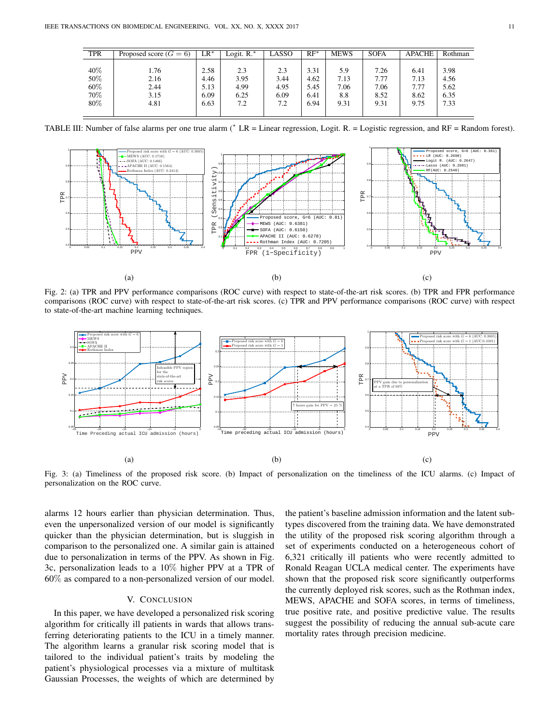| <b>TPR</b> | Proposed score $(G = 6)$ | $LR^*$ | Logit. $R.*$ | <b>LASSO</b> | $RF^*$ | <b>MEWS</b> | <b>SOFA</b> | <b>APACHE</b> | Rothman |
|------------|--------------------------|--------|--------------|--------------|--------|-------------|-------------|---------------|---------|
| 40%        | 1.76                     | 2.58   | 2.3          | 2.3          | 3.31   | 5.9         | 7.26        | 6.41          | 3.98    |
| 50%        | 2.16                     | 4.46   | 3.95         | 3.44         | 4.62   | 7.13        | 7.77        | 7.13          | 4.56    |
| 60%        | 2.44                     | 5.13   | 4.99         | 4.95         | 5.45   | 7.06        | 7.06        | 7.77          | 5.62    |
| 70%        | 3.15                     | 6.09   | 6.25         | 6.09         | 6.41   | 8.8         | 8.52        | 8.62          | 6.35    |
| 80%        | 4.81                     | 6.63   | 7.2          | 7.2          | 6.94   | 9.31        | 9.31        | 9.75          | 7.33    |

TABLE III: Number of false alarms per one true alarm (*<sup>∗</sup>* LR = Linear regression, Logit. R. = Logistic regression, and RF = Random forest).



Fig. 2: (a) TPR and PPV performance comparisons (ROC curve) with respect to state-of-the-art risk scores. (b) TPR and FPR performance comparisons (ROC curve) with respect to state-of-the-art risk scores. (c) TPR and PPV performance comparisons (ROC curve) with respect to state-of-the-art machine learning techniques.



Fig. 3: (a) Timeliness of the proposed risk score. (b) Impact of personalization on the timeliness of the ICU alarms. (c) Impact of personalization on the ROC curve.

alarms 12 hours earlier than physician determination. Thus, even the unpersonalized version of our model is significantly quicker than the physician determination, but is sluggish in comparison to the personalized one. A similar gain is attained due to personalization in terms of the PPV. As shown in Fig. 3c, personalization leads to a 10% higher PPV at a TPR of 60% as compared to a non-personalized version of our model.

## V. CONCLUSION

In this paper, we have developed a personalized risk scoring algorithm for critically ill patients in wards that allows transferring deteriorating patients to the ICU in a timely manner. The algorithm learns a granular risk scoring model that is tailored to the individual patient's traits by modeling the patient's physiological processes via a mixture of multitask Gaussian Processes, the weights of which are determined by

the patient's baseline admission information and the latent subtypes discovered from the training data. We have demonstrated the utility of the proposed risk scoring algorithm through a set of experiments conducted on a heterogeneous cohort of 6,321 critically ill patients who were recently admitted to Ronald Reagan UCLA medical center. The experiments have shown that the proposed risk score significantly outperforms the currently deployed risk scores, such as the Rothman index, MEWS, APACHE and SOFA scores, in terms of timeliness, true positive rate, and positive predictive value. The results suggest the possibility of reducing the annual sub-acute care mortality rates through precision medicine.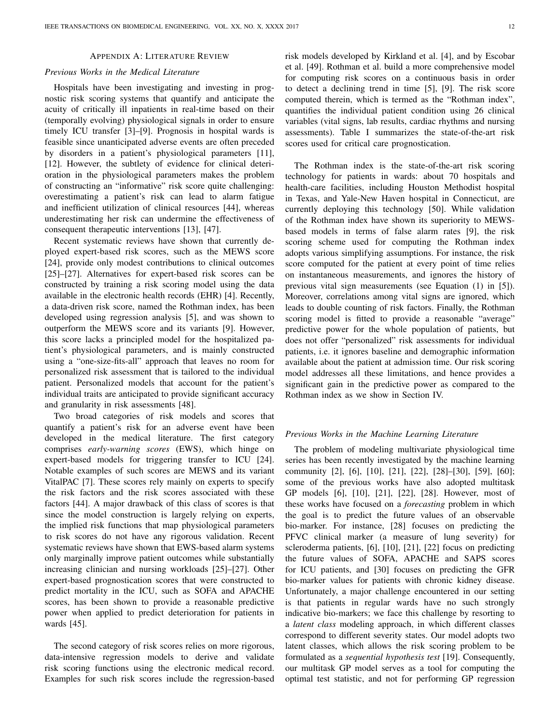## APPENDIX A: LITERATURE REVIEW

#### *Previous Works in the Medical Literature*

Hospitals have been investigating and investing in prognostic risk scoring systems that quantify and anticipate the acuity of critically ill inpatients in real-time based on their (temporally evolving) physiological signals in order to ensure timely ICU transfer [3]–[9]. Prognosis in hospital wards is feasible since unanticipated adverse events are often preceded by disorders in a patient's physiological parameters [11], [12]. However, the subtlety of evidence for clinical deterioration in the physiological parameters makes the problem of constructing an "informative" risk score quite challenging: overestimating a patient's risk can lead to alarm fatigue and inefficient utilization of clinical resources [44], whereas underestimating her risk can undermine the effectiveness of consequent therapeutic interventions [13], [47].

Recent systematic reviews have shown that currently deployed expert-based risk scores, such as the MEWS score [24], provide only modest contributions to clinical outcomes [25]–[27]. Alternatives for expert-based risk scores can be constructed by training a risk scoring model using the data available in the electronic health records (EHR) [4]. Recently, a data-driven risk score, named the Rothman index, has been developed using regression analysis [5], and was shown to outperform the MEWS score and its variants [9]. However, this score lacks a principled model for the hospitalized patient's physiological parameters, and is mainly constructed using a "one-size-fits-all" approach that leaves no room for personalized risk assessment that is tailored to the individual patient. Personalized models that account for the patient's individual traits are anticipated to provide significant accuracy and granularity in risk assessments [48].

Two broad categories of risk models and scores that quantify a patient's risk for an adverse event have been developed in the medical literature. The first category comprises *early-warning scores* (EWS), which hinge on expert-based models for triggering transfer to ICU [24]. Notable examples of such scores are MEWS and its variant VitalPAC [7]. These scores rely mainly on experts to specify the risk factors and the risk scores associated with these factors [44]. A major drawback of this class of scores is that since the model construction is largely relying on experts, the implied risk functions that map physiological parameters to risk scores do not have any rigorous validation. Recent systematic reviews have shown that EWS-based alarm systems only marginally improve patient outcomes while substantially increasing clinician and nursing workloads [25]–[27]. Other expert-based prognostication scores that were constructed to predict mortality in the ICU, such as SOFA and APACHE scores, has been shown to provide a reasonable predictive power when applied to predict deterioration for patients in wards [45].

The second category of risk scores relies on more rigorous, data-intensive regression models to derive and validate risk scoring functions using the electronic medical record. Examples for such risk scores include the regression-based risk models developed by Kirkland et al. [4], and by Escobar et al. [49]. Rothman et al. build a more comprehensive model for computing risk scores on a continuous basis in order to detect a declining trend in time [5], [9]. The risk score computed therein, which is termed as the "Rothman index", quantifies the individual patient condition using 26 clinical variables (vital signs, lab results, cardiac rhythms and nursing assessments). Table I summarizes the state-of-the-art risk scores used for critical care prognostication.

The Rothman index is the state-of-the-art risk scoring technology for patients in wards: about 70 hospitals and health-care facilities, including Houston Methodist hospital in Texas, and Yale-New Haven hospital in Connecticut, are currently deploying this technology [50]. While validation of the Rothman index have shown its superiority to MEWSbased models in terms of false alarm rates [9], the risk scoring scheme used for computing the Rothman index adopts various simplifying assumptions. For instance, the risk score computed for the patient at every point of time relies on instantaneous measurements, and ignores the history of previous vital sign measurements (see Equation (1) in [5]). Moreover, correlations among vital signs are ignored, which leads to double counting of risk factors. Finally, the Rothman scoring model is fitted to provide a reasonable "average" predictive power for the whole population of patients, but does not offer "personalized" risk assessments for individual patients, i.e. it ignores baseline and demographic information available about the patient at admission time. Our risk scoring model addresses all these limitations, and hence provides a significant gain in the predictive power as compared to the Rothman index as we show in Section IV.

## *Previous Works in the Machine Learning Literature*

The problem of modeling multivariate physiological time series has been recently investigated by the machine learning community [2], [6], [10], [21], [22], [28]–[30], [59], [60]; some of the previous works have also adopted multitask GP models [6], [10], [21], [22], [28]. However, most of these works have focused on a *forecasting* problem in which the goal is to predict the future values of an observable bio-marker. For instance, [28] focuses on predicting the PFVC clinical marker (a measure of lung severity) for scleroderma patients, [6], [10], [21], [22] focus on predicting the future values of SOFA, APACHE and SAPS scores for ICU patients, and [30] focuses on predicting the GFR bio-marker values for patients with chronic kidney disease. Unfortunately, a major challenge encountered in our setting is that patients in regular wards have no such strongly indicative bio-markers; we face this challenge by resorting to a *latent class* modeling approach, in which different classes correspond to different severity states. Our model adopts two latent classes, which allows the risk scoring problem to be formulated as a *sequential hypothesis test* [19]. Consequently, our multitask GP model serves as a tool for computing the optimal test statistic, and not for performing GP regression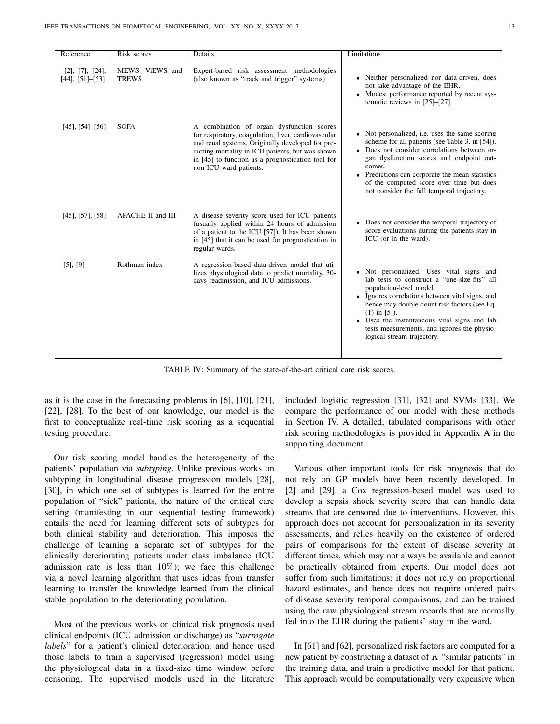| Reference                                   | <b>Risk scores</b>              | Details                                                                                                                                                                                                                                                                                 | Limitations                                                                                                                                                                                                                                                                                                                                                              |
|---------------------------------------------|---------------------------------|-----------------------------------------------------------------------------------------------------------------------------------------------------------------------------------------------------------------------------------------------------------------------------------------|--------------------------------------------------------------------------------------------------------------------------------------------------------------------------------------------------------------------------------------------------------------------------------------------------------------------------------------------------------------------------|
| [2], [7], [24],<br>$[44]$ , $[51]$ – $[53]$ | MEWS, ViEWS and<br><b>TREWS</b> | Expert-based risk assessment methodologies<br>(also known as "track and trigger" systems)                                                                                                                                                                                               | • Neither personalized nor data-driven, does<br>not take advantage of the EHR.<br>• Modest performance reported by recent sys-<br>tematic reviews in $[25]-[27]$ .                                                                                                                                                                                                       |
| $[45]$ , $[54]$ – $[56]$                    | <b>SOFA</b>                     | A combination of organ dysfunction scores<br>for respiratory, coagulation, liver, cardiovascular<br>and renal systems. Originally developed for pre-<br>dicting mortality in ICU patients, but was shown<br>in [45] to function as a prognostication tool for<br>non-ICU ward patients. | • Not personalized, i.e. uses the same scoring<br>scheme for all patients (see Table 3. in [54]).<br>• Does not consider correlations between or-<br>gan dysfunction scores and endpoint out-<br>comes.<br>• Predictions can corporate the mean statistics<br>of the computed score over time but does<br>not consider the full temporal trajectory.                     |
| $[45]$ , [57], [58]                         | APACHE II and III               | A disease severity score used for ICU patients<br>(usually applied within 24 hours of admission<br>of a patient to the ICU [57]). It has been shown<br>in [45] that it can be used for prognostication in<br>regular wards.                                                             | • Does not consider the temporal trajectory of<br>score evaluations during the patients stay in<br>ICU (or in the ward).                                                                                                                                                                                                                                                 |
| $[5]$ , $[9]$                               | Rothman index                   | A regression-based data-driven model that uti-<br>lizes physiological data to predict mortality, 30-<br>days readmission, and ICU admissions.                                                                                                                                           | • Not personalized. Uses vital signs and<br>lab tests to construct a "one-size-fits" all<br>population-level model.<br>• Ignores correlations between vital signs, and<br>hence may double-count risk factors (see Eq.<br>$(1)$ in $[5]$ ).<br>• Uses the instantaneous vital signs and lab<br>tests measurements, and ignores the physio-<br>logical stream trajectory. |

TABLE IV: Summary of the state-of-the-art critical care risk scores.

as it is the case in the forecasting problems in [6], [10], [21], [22], [28]. To the best of our knowledge, our model is the first to conceptualize real-time risk scoring as a sequential testing procedure.

Our risk scoring model handles the heterogeneity of the patients' population via *subtyping*. Unlike previous works on subtyping in longitudinal disease progression models [28], [30], in which one set of subtypes is learned for the entire population of "sick" patients, the nature of the critical care setting (manifesting in our sequential testing framework) entails the need for learning different sets of subtypes for both clinical stability and deterioration. This imposes the challenge of learning a separate set of subtypes for the clinically deteriorating patients under class imbalance (ICU admission rate is less than  $10\%$ ; we face this challenge via a novel learning algorithm that uses ideas from transfer learning to transfer the knowledge learned from the clinical stable population to the deteriorating population.

Most of the previous works on clinical risk prognosis used clinical endpoints (ICU admission or discharge) as "*surrogate labels*" for a patient's clinical deterioration, and hence used those labels to train a supervised (regression) model using the physiological data in a fixed-size time window before censoring. The supervised models used in the literature included logistic regression [31], [32] and SVMs [33]. We compare the performance of our model with these methods in Section IV. A detailed, tabulated comparisons with other risk scoring methodologies is provided in Appendix A in the supporting document.

Various other important tools for risk prognosis that do not rely on GP models have been recently developed. In [2] and [29], a Cox regression-based model was used to develop a sepsis shock severity score that can handle data streams that are censored due to interventions. However, this approach does not account for personalization in its severity assessments, and relies heavily on the existence of ordered pairs of comparisons for the extent of disease severity at different times, which may not always be available and cannot be practically obtained from experts. Our model does not suffer from such limitations: it does not rely on proportional hazard estimates, and hence does not require ordered pairs of disease severity temporal comparisons, and can be trained using the raw physiological stream records that are normally fed into the EHR during the patients' stay in the ward.

In [61] and [62], personalized risk factors are computed for a new patient by constructing a dataset of *K* "similar patients" in the training data, and train a predictive model for that patient. This approach would be computationally very expensive when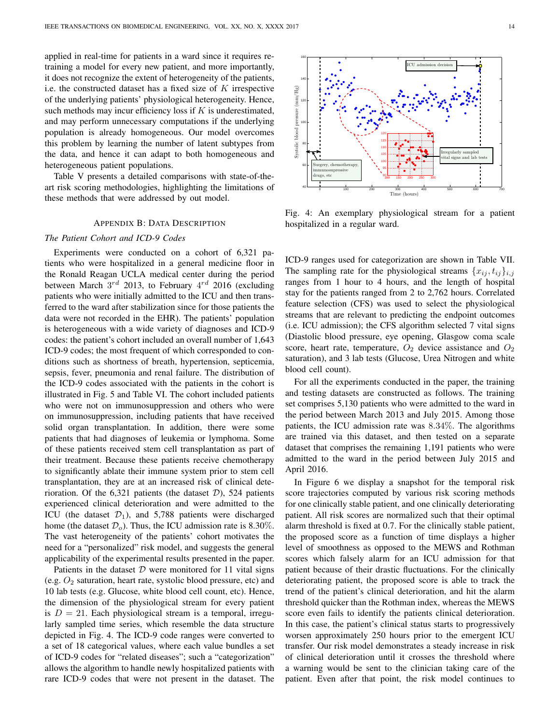applied in real-time for patients in a ward since it requires retraining a model for every new patient, and more importantly, it does not recognize the extent of heterogeneity of the patients, i.e. the constructed dataset has a fixed size of *K* irrespective of the underlying patients' physiological heterogeneity. Hence, such methods may incur efficiency loss if *K* is underestimated, and may perform unnecessary computations if the underlying population is already homogeneous. Our model overcomes this problem by learning the number of latent subtypes from the data, and hence it can adapt to both homogeneous and heterogeneous patient populations.

Table V presents a detailed comparisons with state-of-theart risk scoring methodologies, highlighting the limitations of these methods that were addressed by out model.

#### APPENDIX B: DATA DESCRIPTION

#### *The Patient Cohort and ICD-9 Codes*

Experiments were conducted on a cohort of 6,321 patients who were hospitalized in a general medicine floor in the Ronald Reagan UCLA medical center during the period between March 3 *rd* 2013, to February 4 *rd* 2016 (excluding patients who were initially admitted to the ICU and then transferred to the ward after stabilization since for those patients the data were not recorded in the EHR). The patients' population is heterogeneous with a wide variety of diagnoses and ICD-9 codes: the patient's cohort included an overall number of 1,643 ICD-9 codes; the most frequent of which corresponded to conditions such as shortness of breath, hypertension, septicemia, sepsis, fever, pneumonia and renal failure. The distribution of the ICD-9 codes associated with the patients in the cohort is illustrated in Fig. 5 and Table VI. The cohort included patients who were not on immunosuppression and others who were on immunosuppression, including patients that have received solid organ transplantation. In addition, there were some patients that had diagnoses of leukemia or lymphoma. Some of these patients received stem cell transplantation as part of their treatment. Because these patients receive chemotherapy to significantly ablate their immune system prior to stem cell transplantation, they are at an increased risk of clinical deterioration. Of the 6,321 patients (the dataset *D*), 524 patients experienced clinical deterioration and were admitted to the ICU (the dataset  $\mathcal{D}_1$ ), and 5,788 patients were discharged home (the dataset  $\mathcal{D}_o$ ). Thus, the ICU admission rate is 8.30%. The vast heterogeneity of the patients' cohort motivates the need for a "personalized" risk model, and suggests the general applicability of the experimental results presented in the paper. in the CD-100 external interest in the dataset of the dataset in the dataset of the dataset in the dataset in the dataset in the dataset in the dataset in the dataset in the dataset in the dataset in the dataset in the da

Patients in the dataset *D* were monitored for 11 vital signs (e.g. *O*<sup>2</sup> saturation, heart rate, systolic blood pressure, etc) and 10 lab tests (e.g. Glucose, white blood cell count, etc). Hence, the dimension of the physiological stream for every patient is  $D = 21$ . Each physiological stream is a temporal, irregularly sampled time series, which resemble the data structure depicted in Fig. 4. The ICD-9 code ranges were converted to a set of 18 categorical values, where each value bundles a set of ICD-9 codes for "related diseases"; such a "categorization" allows the algorithm to handle newly hospitalized patients with



Fig. 4: An exemplary physiological stream for a patient hospitalized in a regular ward.

ICD-9 ranges used for categorization are shown in Table VII. The sampling rate for the physiological streams  $\{x_{ij}, t_{ij}\}_{i,j}$ ranges from 1 hour to 4 hours, and the length of hospital stay for the patients ranged from 2 to 2,762 hours. Correlated feature selection (CFS) was used to select the physiological streams that are relevant to predicting the endpoint outcomes (i.e. ICU admission); the CFS algorithm selected 7 vital signs (Diastolic blood pressure, eye opening, Glasgow coma scale score, heart rate, temperature,  $O_2$  device assistance and  $O_2$ saturation), and 3 lab tests (Glucose, Urea Nitrogen and white blood cell count).

For all the experiments conducted in the paper, the training and testing datasets are constructed as follows. The training set comprises 5,130 patients who were admitted to the ward in the period between March 2013 and July 2015. Among those patients, the ICU admission rate was 8*.*34%. The algorithms are trained via this dataset, and then tested on a separate dataset that comprises the remaining 1,191 patients who were admitted to the ward in the period between July 2015 and April 2016.

In Figure 6 we display a snapshot for the temporal risk score trajectories computed by various risk scoring methods for one clinically stable patient, and one clinically deteriorating patient. All risk scores are normalized such that their optimal alarm threshold is fixed at 0.7. For the clinically stable patient, the proposed score as a function of time displays a higher level of smoothness as opposed to the MEWS and Rothman scores which falsely alarm for an ICU admission for that patient because of their drastic fluctuations. For the clinically deteriorating patient, the proposed score is able to track the trend of the patient's clinical deterioration, and hit the alarm threshold quicker than the Rothman index, whereas the MEWS score even fails to identify the patients clinical deterioration. In this case, the patient's clinical status starts to progressively worsen approximately 250 hours prior to the emergent ICU transfer. Our risk model demonstrates a steady increase in risk of clinical deterioration until it crosses the threshold where a warning would be sent to the clinician taking care of the patient. Even after that point, the risk model continues to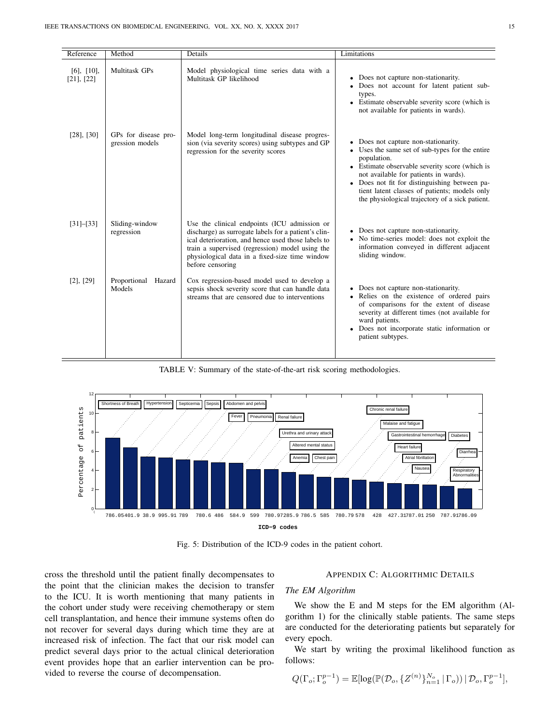| Reference                      | Method                                  | Details                                                                                                                                                                                                                                                                             | Limitations                                                                                                                                                                                                                                                                                                                                            |
|--------------------------------|-----------------------------------------|-------------------------------------------------------------------------------------------------------------------------------------------------------------------------------------------------------------------------------------------------------------------------------------|--------------------------------------------------------------------------------------------------------------------------------------------------------------------------------------------------------------------------------------------------------------------------------------------------------------------------------------------------------|
| $[6]$ , $[10]$ ,<br>[21], [22] | Multitask GPs                           | Model physiological time series data with a<br>Multitask GP likelihood                                                                                                                                                                                                              | • Does not capture non-stationarity.<br>• Does not account for latent patient sub-<br>types.<br>• Estimate observable severity score (which is<br>not available for patients in wards).                                                                                                                                                                |
| $[28]$ , $[30]$                | GPs for disease pro-<br>gression models | Model long-term longitudinal disease progres-<br>sion (via severity scores) using subtypes and GP<br>regression for the severity scores                                                                                                                                             | • Does not capture non-stationarity.<br>• Uses the same set of sub-types for the entire<br>population.<br>• Estimate observable severity score (which is<br>not available for patients in wards).<br>• Does not fit for distinguishing between pa-<br>tient latent classes of patients; models only<br>the physiological trajectory of a sick patient. |
| $[31] - [33]$                  | Sliding-window<br>regression            | Use the clinical endpoints (ICU admission or<br>discharge) as surrogate labels for a patient's clin-<br>ical deterioration, and hence used those labels to<br>train a supervised (regression) model using the<br>physiological data in a fixed-size time window<br>before censoring | • Does not capture non-stationarity.<br>• No time-series model: does not exploit the<br>information conveyed in different adjacent<br>sliding window.                                                                                                                                                                                                  |
| $[2]$ , $[29]$                 | Proportional<br>Hazard<br>Models        | Cox regression-based model used to develop a<br>sepsis shock severity score that can handle data<br>streams that are censored due to interventions                                                                                                                                  | • Does not capture non-stationarity.<br>• Relies on the existence of ordered pairs<br>of comparisons for the extent of disease<br>severity at different times (not available for<br>ward patients.<br>• Does not incorporate static information or<br>patient subtypes.                                                                                |

TABLE V: Summary of the state-of-the-art risk scoring methodologies.



Fig. 5: Distribution of the ICD-9 codes in the patient cohort.

cross the threshold until the patient finally decompensates to the point that the clinician makes the decision to transfer to the ICU. It is worth mentioning that many patients in the cohort under study were receiving chemotherapy or stem cell transplantation, and hence their immune systems often do not recover for several days during which time they are at increased risk of infection. The fact that our risk model can predict several days prior to the actual clinical deterioration event provides hope that an earlier intervention can be provided to reverse the course of decompensation.

## APPENDIX C: ALGORITHMIC DETAILS

## *The EM Algorithm*

We show the E and M steps for the EM algorithm (Algorithm 1) for the clinically stable patients. The same steps are conducted for the deteriorating patients but separately for every epoch.

We start by writing the proximal likelihood function as follows:

$$
Q(\Gamma_o; \Gamma_o^{p-1}) = \mathbb{E}[\log(\mathbb{P}(\mathcal{D}_o, \{Z^{(n)}\}_{n=1}^{N_o} | \Gamma_o)) | \mathcal{D}_o, \Gamma_o^{p-1}],
$$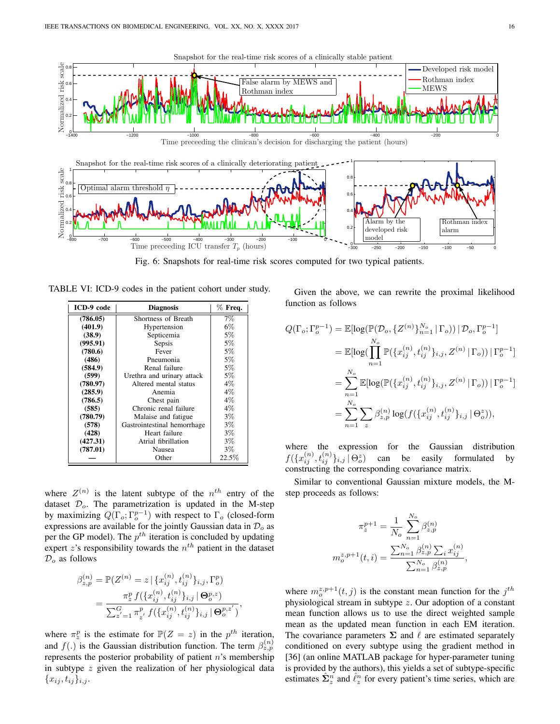

Fig. 6: Snapshots for real-time risk scores computed for two typical patients.

TABLE VI: ICD-9 codes in the patient cohort under study.

| <b>ICD-9</b> code | <b>Diagnosis</b>            | $%$ Freq. |
|-------------------|-----------------------------|-----------|
| (786.05)          | Shortness of Breath         | $7\%$     |
| (401.9)           | Hypertension                | $6\%$     |
| (38.9)            | Septicemia                  | 5%        |
| (995.91)          | Sepsis                      | 5%        |
| (780.6)           | Fever                       | 5%        |
| (486)             | Pneumonia                   | 5%        |
| (584.9)           | Renal failure               | 5%        |
| (599)             | Urethra and urinary attack  | 5%        |
| (780.97)          | Altered mental status       | $4\%$     |
| (285.9)           | Anemia                      | $4\%$     |
| (786.5)           | Chest pain                  | $4\%$     |
| (585)             | Chronic renal failure       | $4\%$     |
| (780.79)          | Malaise and fatigue         | $3\%$     |
| (578)             | Gastrointestinal hemorrhage | $3\%$     |
| (428)             | Heart failure               | $3\%$     |
| (427.31)          | Atrial fibrillation         | $3\%$     |
| (787.01)          | Nausea                      | $3\%$     |
|                   | Other                       | 22.5%     |

where  $Z^{(n)}$  is the latent subtype of the  $n^{th}$  entry of the dataset  $\mathcal{D}_o$ . The parametrization is updated in the M-step by maximizing  $Q(\Gamma_o; \Gamma_o^{p-1})$  with respect to  $\Gamma_o$  (closed-form expressions are available for the jointly Gaussian data in *D<sup>o</sup>* as per the GP model). The *p th* iteration is concluded by updating expert *z*'s responsibility towards the *n th* patient in the dataset *D<sup>o</sup>* as follows

$$
\beta_{z,p}^{(n)} = \mathbb{P}(Z^{(n)} = z | \{x_{ij}^{(n)}, t_{ij}^{(n)}\}_{i,j}, \Gamma_o^p)
$$
  
= 
$$
\frac{\pi_z^p f(\{x_{ij}^{(n)}, t_{ij}^{(n)}\}_{i,j} | \mathbf{\Theta}_o^{p,z})}{\sum_{z'=1}^G \pi_{z'}^p f(\{x_{ij}^{(n)}, t_{ij}^{(n)}\}_{i,j} | \mathbf{\Theta}_o^{p,z'})}
$$

*,*

where  $\pi_z^p$  is the estimate for  $\mathbb{P}(Z = z)$  in the  $p^{th}$  iteration, and  $f(.)$  is the Gaussian distribution function. The term  $\beta_{z,p}^{(n)}$ represents the posterior probability of patient *n*'s membership in subtype *z* given the realization of her physiological data  ${x_{ij}, t_{ij}}_{i,j}$ .

Given the above, we can rewrite the proximal likelihood function as follows

$$
Q(\Gamma_o; \Gamma_o^{p-1}) = \mathbb{E}[\log(\mathbb{P}(\mathcal{D}_o, \{Z^{(n)}\}_{n=1}^{N_o} | \Gamma_o)) | \mathcal{D}_o, \Gamma_o^{p-1}]
$$
  
\n
$$
= \mathbb{E}[\log(\prod_{n=1}^{N_o} \mathbb{P}(\{x_{ij}^{(n)}, t_{ij}^{(n)}\}_{i,j}, Z^{(n)} | \Gamma_o)) | \Gamma_o^{p-1}]
$$
  
\n
$$
= \sum_{n=1}^{N_o} \mathbb{E}[\log(\mathbb{P}(\{x_{ij}^{(n)}, t_{ij}^{(n)}\}_{i,j}, Z^{(n)} | \Gamma_o)) | \Gamma_o^{p-1}]
$$
  
\n
$$
= \sum_{n=1}^{N_o} \sum_{z} \beta_{z,p}^{(n)} \log(f(\{x_{ij}^{(n)}, t_{ij}^{(n)}\}_{i,j} | \Theta_o^z)),
$$

where the expression for the Gaussian distribution  $f(\lbrace x_{ij}^{(n)}, t_{ij}^{(n)} \rbrace_{i,j} | \Theta_o^z)$  can be easily formulated by constructing the corresponding covariance matrix.

Similar to conventional Gaussian mixture models, the Mstep proceeds as follows:

$$
\pi_z^{p+1} = \frac{1}{N_o} \sum_{n=1}^{N_o} \beta_{z,p}^{(n)}
$$

$$
a_o^{z,p+1}(t,i) = \frac{\sum_{n=1}^{N_o} \beta_{z,p}^{(n)} \sum_{i} x_{ij}^{(n)}}{\sum_{n=1}^{N_o} \beta_{z,p}^{(n)}},
$$

*mz,p*+1

where  $m_o^{z,p+1}(t, j)$  is the constant mean function for the  $j^{th}$ physiological stream in subtype *z*. Our adoption of a constant mean function allows us to use the direct weighted sample mean as the updated mean function in each EM iteration. The covariance parameters  $\Sigma$  and  $\ell$  are estimated separately conditioned on every subtype using the gradient method in [36] (an online MATLAB package for hyper-parameter tuning is provided by the authors), this yields a set of subtype-specific estimates  $\hat{\Sigma}^n_z$  and  $\hat{\ell}^n_z$  for every patient's time series, which are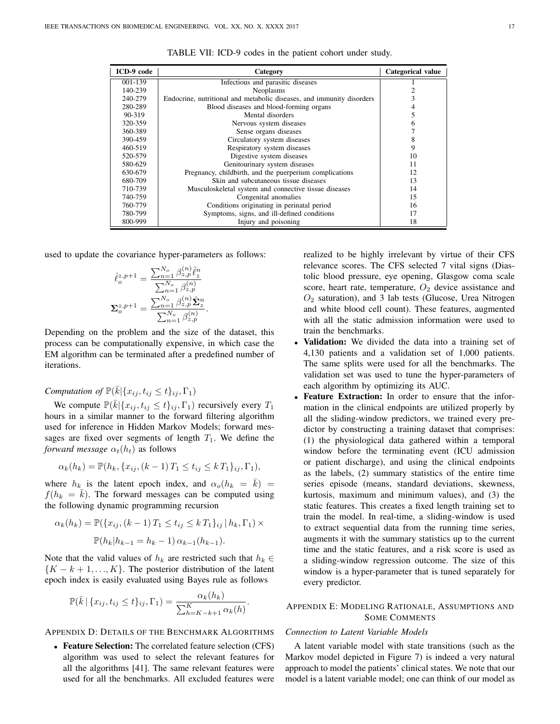| ICD-9 code | Category                                                              | Categorical value |
|------------|-----------------------------------------------------------------------|-------------------|
| 001-139    | Infectious and parasitic diseases                                     |                   |
| 140-239    | <b>Neoplasms</b>                                                      |                   |
| 240-279    | Endocrine, nutritional and metabolic diseases, and immunity disorders |                   |
| 280-289    | Blood diseases and blood-forming organs                               |                   |
| 90-319     | Mental disorders                                                      |                   |
| 320-359    | Nervous system diseases                                               | 6                 |
| 360-389    | Sense organs diseases                                                 |                   |
| 390-459    | Circulatory system diseases                                           | 8                 |
| 460-519    | Respiratory system diseases                                           | 9                 |
| 520-579    | Digestive system diseases                                             | 10                |
| 580-629    | Genitourinary system diseases                                         | 11                |
| 630-679    | Pregnancy, childbirth, and the puerperium complications               | 12                |
| 680-709    | Skin and subcutaneous tissue diseases                                 | 13                |
| 710-739    | Musculoskeletal system and connective tissue diseases                 | 14                |
| 740-759    | Congenital anomalies                                                  | 15                |
| 760-779    | Conditions originating in perinatal period                            | 16                |
| 780-799    | Symptoms, signs, and ill-defined conditions                           | 17                |
| 800-999    | Injury and poisoning                                                  | 18                |

TABLE VII: ICD-9 codes in the patient cohort under study.

used to update the covariance hyper-parameters as follows:

$$
\hat{\ell}_o^{z,p+1} = \frac{\sum_{n=1}^{N_o} \beta_{z,p}^{(n)} \hat{\ell}_z^n}{\sum_{n=1}^{N_o} \beta_{z,p}^{(n)}}\n\n\sum_{o}^{z,p+1} = \frac{\sum_{n=1}^{N_o} \beta_{z,p}^{(n)} \hat{\Sigma}_z^n}{\sum_{n=1}^{N_o} \beta_{z,p}^{(n)}}.
$$

Depending on the problem and the size of the dataset, this process can be computationally expensive, in which case the EM algorithm can be terminated after a predefined number of iterations.

## *Computation of*  $\mathbb{P}(\bar{k}|\{x_{ij}, t_{ij} \leq t\}_{ij}, \Gamma_1)$

We compute  $\mathbb{P}(\overline{k} | \{x_{ij}, t_{ij} \le t\}_{ij}, \Gamma_1)$  recursively every  $T_1$ hours in a similar manner to the forward filtering algorithm used for inference in Hidden Markov Models; forward messages are fixed over segments of length  $T_1$ . We define the *forward message*  $\alpha_t(h_t)$  as follows

$$
\alpha_k(h_k) = \mathbb{P}(h_k, \{x_{ij}, (k-1)T_1 \le t_{ij} \le kT_1\}_{ij}, \Gamma_1),
$$

where  $h_k$  is the latent epoch index, and  $\alpha_o(h_k = \overline{k})$  $f(h_k = \bar{k})$ . The forward messages can be computed using the following dynamic programming recursion

$$
\alpha_k(h_k) = \mathbb{P}(\{x_{ij}, (k-1)T_1 \le t_{ij} \le kT_1\}_{ij} | h_k, \Gamma_1) \times \n\mathbb{P}(h_k|h_{k-1} = h_k - 1) \alpha_{k-1}(h_{k-1}).
$$

Note that the valid values of  $h_k$  are restricted such that  $h_k \in$  ${K - k + 1, ..., K}$ . The posterior distribution of the latent epoch index is easily evaluated using Bayes rule as follows

$$
\mathbb{P}(\bar{k} \mid \{x_{ij}, t_{ij} \leq t\}_{ij}, \Gamma_1) = \frac{\alpha_k(h_k)}{\sum_{h=K-k+1}^K \alpha_k(h)}.
$$

APPENDIX D: DETAILS OF THE BENCHMARK ALGORITHMS

• **Feature Selection:** The correlated feature selection (CFS) algorithm was used to select the relevant features for all the algorithms [41]. The same relevant features were used for all the benchmarks. All excluded features were realized to be highly irrelevant by virtue of their CFS relevance scores. The CFS selected 7 vital signs (Diastolic blood pressure, eye opening, Glasgow coma scale score, heart rate, temperature,  $O_2$  device assistance and *O*<sup>2</sup> saturation), and 3 lab tests (Glucose, Urea Nitrogen and white blood cell count). These features, augmented with all the static admission information were used to train the benchmarks.

- **Validation:** We divided the data into a training set of 4,130 patients and a validation set of 1,000 patients. The same splits were used for all the benchmarks. The validation set was used to tune the hyper-parameters of each algorithm by optimizing its AUC.
- **Feature Extraction:** In order to ensure that the information in the clinical endpoints are utilized properly by all the sliding-window predictors, we trained every predictor by constructing a training dataset that comprises: (1) the physiological data gathered within a temporal window before the terminating event (ICU admission or patient discharge), and using the clinical endpoints as the labels, (2) summary statistics of the entire time series episode (means, standard deviations, skewness, kurtosis, maximum and minimum values), and (3) the static features. This creates a fixed length training set to train the model. In real-time, a sliding-window is used to extract sequential data from the running time series, augments it with the summary statistics up to the current time and the static features, and a risk score is used as a sliding-window regression outcome. The size of this window is a hyper-parameter that is tuned separately for every predictor.

## APPENDIX E: MODELING RATIONALE, ASSUMPTIONS AND SOME COMMENTS

## *Connection to Latent Variable Models*

A latent variable model with state transitions (such as the Markov model depicted in Figure 7) is indeed a very natural approach to model the patients' clinical states. We note that our model is a latent variable model; one can think of our model as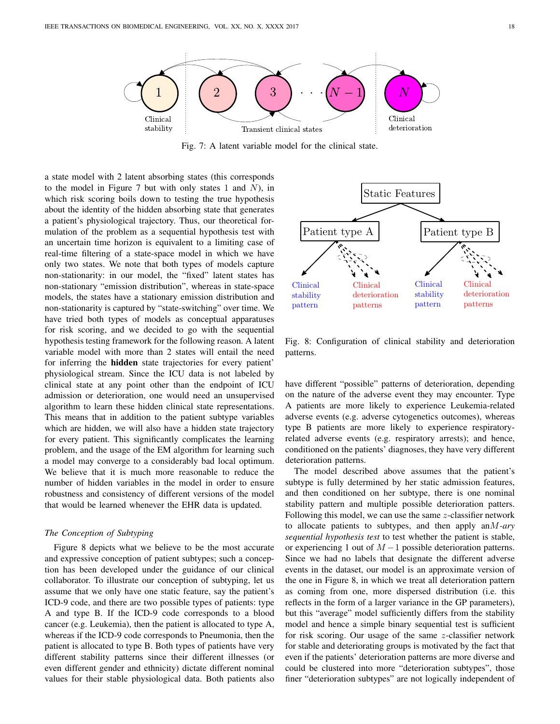

Fig. 7: A latent variable model for the clinical state.

a state model with 2 latent absorbing states (this corresponds to the model in Figure 7 but with only states 1 and *N*), in which risk scoring boils down to testing the true hypothesis about the identity of the hidden absorbing state that generates a patient's physiological trajectory. Thus, our theoretical formulation of the problem as a sequential hypothesis test with an uncertain time horizon is equivalent to a limiting case of real-time filtering of a state-space model in which we have only two states. We note that both types of models capture non-stationarity: in our model, the "fixed" latent states has non-stationary "emission distribution", whereas in state-space models, the states have a stationary emission distribution and non-stationarity is captured by "state-switching" over time. We have tried both types of models as conceptual apparatuses for risk scoring, and we decided to go with the sequential hypothesis testing framework for the following reason. A latent variable model with more than 2 states will entail the need for inferring the hidden state trajectories for every patient' physiological stream. Since the ICU data is not labeled by clinical state at any point other than the endpoint of ICU admission or deterioration, one would need an unsupervised algorithm to learn these hidden clinical state representations. This means that in addition to the patient subtype variables which are hidden, we will also have a hidden state trajectory for every patient. This significantly complicates the learning problem, and the usage of the EM algorithm for learning such a model may converge to a considerably bad local optimum. We believe that it is much more reasonable to reduce the number of hidden variables in the model in order to ensure robustness and consistency of different versions of the model that would be learned whenever the EHR data is updated.

### *The Conception of Subtyping*

Figure 8 depicts what we believe to be the most accurate and expressive conception of patient subtypes; such a conception has been developed under the guidance of our clinical collaborator. To illustrate our conception of subtyping, let us assume that we only have one static feature, say the patient's ICD-9 code, and there are two possible types of patients: type A and type B. If the ICD-9 code corresponds to a blood cancer (e.g. Leukemia), then the patient is allocated to type A, whereas if the ICD-9 code corresponds to Pneumonia, then the patient is allocated to type B. Both types of patients have very different stability patterns since their different illnesses (or even different gender and ethnicity) dictate different nominal values for their stable physiological data. Both patients also



Fig. 8: Configuration of clinical stability and deterioration patterns.

have different "possible" patterns of deterioration, depending on the nature of the adverse event they may encounter. Type A patients are more likely to experience Leukemia-related adverse events (e.g. adverse cytogenetics outcomes), whereas type B patients are more likely to experience respiratoryrelated adverse events (e.g. respiratory arrests); and hence, conditioned on the patients' diagnoses, they have very different deterioration patterns.

The model described above assumes that the patient's subtype is fully determined by her static admission features, and then conditioned on her subtype, there is one nominal stability pattern and multiple possible deterioration patters. Following this model, we can use the same *z*-classifier network to allocate patients to subtypes, and then apply an*M-ary sequential hypothesis test* to test whether the patient is stable, or experiencing 1 out of *M −*1 possible deterioration patterns. Since we had no labels that designate the different adverse events in the dataset, our model is an approximate version of the one in Figure 8, in which we treat all deterioration pattern as coming from one, more dispersed distribution (i.e. this reflects in the form of a larger variance in the GP parameters), but this "average" model sufficiently differs from the stability model and hence a simple binary sequential test is sufficient for risk scoring. Our usage of the same *z*-classifier network for stable and deteriorating groups is motivated by the fact that even if the patients' deterioration patterns are more diverse and could be clustered into more "deterioration subtypes", those finer "deterioration subtypes" are not logically independent of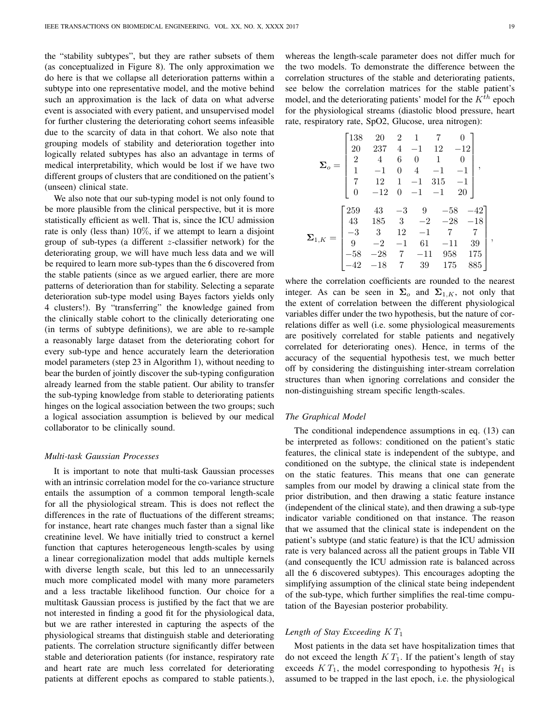the "stability subtypes", but they are rather subsets of them (as conceptualized in Figure 8). The only approximation we do here is that we collapse all deterioration patterns within a subtype into one representative model, and the motive behind such an approximation is the lack of data on what adverse event is associated with every patient, and unsupervised model for further clustering the deteriorating cohort seems infeasible due to the scarcity of data in that cohort. We also note that grouping models of stability and deterioration together into logically related subtypes has also an advantage in terms of medical interpretability, which would be lost if we have two different groups of clusters that are conditioned on the patient's (unseen) clinical state.

We also note that our sub-typing model is not only found to be more plausible from the clinical perspective, but it is more statistically efficient as well. That is, since the ICU admission rate is only (less than)  $10\%$ , if we attempt to learn a disjoint group of sub-types (a different *z*-classifier network) for the deteriorating group, we will have much less data and we will be required to learn more sub-types than the 6 discovered from the stable patients (since as we argued earlier, there are more patterns of deterioration than for stability. Selecting a separate deterioration sub-type model using Bayes factors yields only 4 clusters!). By "transferring" the knowledge gained from the clinically stable cohort to the clinically deteriorating one (in terms of subtype definitions), we are able to re-sample a reasonably large dataset from the deteriorating cohort for every sub-type and hence accurately learn the deterioration model parameters (step 23 in Algorithm 1), without needing to bear the burden of jointly discover the sub-typing configuration already learned from the stable patient. Our ability to transfer the sub-typing knowledge from stable to deteriorating patients hinges on the logical association between the two groups; such a logical association assumption is believed by our medical collaborator to be clinically sound.

#### *Multi-task Gaussian Processes*

It is important to note that multi-task Gaussian processes with an intrinsic correlation model for the co-variance structure entails the assumption of a common temporal length-scale for all the physiological stream. This is does not reflect the differences in the rate of fluctuations of the different streams; for instance, heart rate changes much faster than a signal like creatinine level. We have initially tried to construct a kernel function that captures heterogeneous length-scales by using a linear corregionalization model that adds multiple kernels with diverse length scale, but this led to an unnecessarily much more complicated model with many more parameters and a less tractable likelihood function. Our choice for a multitask Gaussian process is justified by the fact that we are not interested in finding a good fit for the physiological data, but we are rather interested in capturing the aspects of the physiological streams that distinguish stable and deteriorating patients. The correlation structure significantly differ between stable and deterioration patients (for instance, respiratory rate and heart rate are much less correlated for deteriorating patients at different epochs as compared to stable patients.), whereas the length-scale parameter does not differ much for the two models. To demonstrate the difference between the correlation structures of the stable and deteriorating patients, see below the correlation matrices for the stable patient's model, and the deteriorating patients' model for the *Kth* epoch for the physiological streams (diastolic blood pressure, heart rate, respiratory rate, SpO2, Glucose, urea nitrogen):

|                                                                                                                                                           | 138            | 20   | $\overline{2}$ | 1            |              |          |
|-----------------------------------------------------------------------------------------------------------------------------------------------------------|----------------|------|----------------|--------------|--------------|----------|
|                                                                                                                                                           | 20             | 237  | 4              | $^{-1}$      | 12           | 12       |
|                                                                                                                                                           | $\overline{2}$ | 4    | 6              | 0            | 1            |          |
| $\boldsymbol{\Sigma}_{o}=% \begin{bmatrix} \sum_{i=1}^{n} &\sum_{j=1}^{n} &1_{j}^{\prime} &1_{j}^{\prime} \end{bmatrix} \boldsymbol{\Sigma}_{o}^{\prime}$ | 1              | $-1$ | 0              | 4            | 1<br>$-1$    | ,        |
|                                                                                                                                                           | 7              | 12   | 1              | $^{-1}$      | 315          | $-1$     |
|                                                                                                                                                           |                | 12   | 0              | $^{-1}$      | 20<br>1      |          |
|                                                                                                                                                           | 259            | 43   | $^{-3}$        | 9            | $-58$        |          |
|                                                                                                                                                           | 43             | 185  | 3              | $^{-2}$      | $-28$        | $^{-18}$ |
|                                                                                                                                                           | $^{-3}$        | 3    | 12             | $-1$         |              |          |
| $\mathbf{\Sigma}_{1,K} =$                                                                                                                                 | 9              | 2    | $^{-1}$        | 61           | $^{\rm -11}$ | 39       |
|                                                                                                                                                           | 58             | 28   |                | $^{\rm -11}$ | 958          | 175      |
|                                                                                                                                                           | 42             | 18   |                | 39           | 175          | 885      |

where the correlation coefficients are rounded to the nearest integer. As can be seen in  $\Sigma_0$  and  $\Sigma_{1,K}$ , not only that the extent of correlation between the different physiological variables differ under the two hypothesis, but the nature of correlations differ as well (i.e. some physiological measurements are positively correlated for stable patients and negatively correlated for deteriorating ones). Hence, in terms of the accuracy of the sequential hypothesis test, we much better off by considering the distinguishing inter-stream correlation structures than when ignoring correlations and consider the non-distinguishing stream specific length-scales.

#### *The Graphical Model*

The conditional independence assumptions in eq. (13) can be interpreted as follows: conditioned on the patient's static features, the clinical state is independent of the subtype, and conditioned on the subtype, the clinical state is independent on the static features. This means that one can generate samples from our model by drawing a clinical state from the prior distribution, and then drawing a static feature instance (independent of the clinical state), and then drawing a sub-type indicator variable conditioned on that instance. The reason that we assumed that the clinical state is independent on the patient's subtype (and static feature) is that the ICU admission rate is very balanced across all the patient groups in Table VII (and consequently the ICU admission rate is balanced across all the 6 discovered subtypes). This encourages adopting the simplifying assumption of the clinical state being independent of the sub-type, which further simplifies the real-time computation of the Bayesian posterior probability.

#### *Length of Stay Exceeding K T*<sup>1</sup>

Most patients in the data set have hospitalization times that do not exceed the length  $KT_1$ . If the patient's length of stay exceeds  $KT_1$ , the model corresponding to hypothesis  $\mathcal{H}_1$  is assumed to be trapped in the last epoch, i.e. the physiological

*,*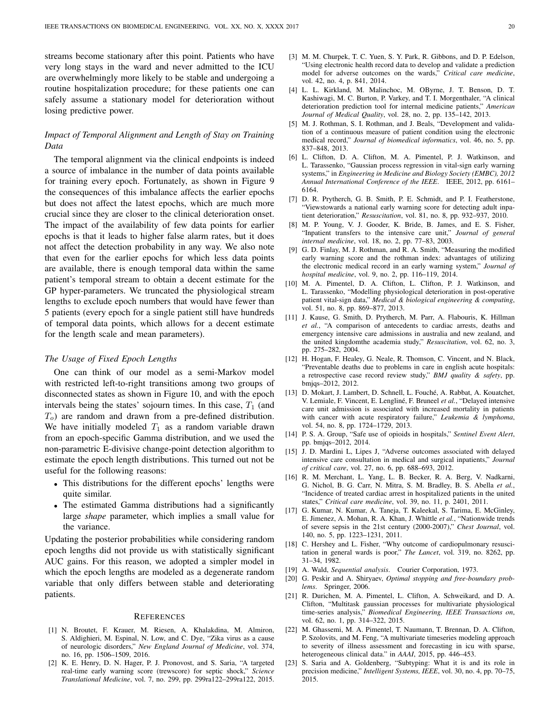streams become stationary after this point. Patients who have very long stays in the ward and never admitted to the ICU are overwhelmingly more likely to be stable and undergoing a routine hospitalization procedure; for these patients one can safely assume a stationary model for deterioration without losing predictive power.

## *Impact of Temporal Alignment and Length of Stay on Training Data*

The temporal alignment via the clinical endpoints is indeed a source of imbalance in the number of data points available for training every epoch. Fortunately, as shown in Figure 9 the consequences of this imbalance affects the earlier epochs but does not affect the latest epochs, which are much more crucial since they are closer to the clinical deterioration onset. The impact of the availability of few data points for earlier epochs is that it leads to higher false alarm rates, but it does not affect the detection probability in any way. We also note that even for the earlier epochs for which less data points are available, there is enough temporal data within the same patient's temporal stream to obtain a decent estimate for the GP hyper-parameters. We truncated the physiological stream lengths to exclude epoch numbers that would have fewer than 5 patients (every epoch for a single patient still have hundreds of temporal data points, which allows for a decent estimate for the length scale and mean parameters).

#### *The Usage of Fixed Epoch Lengths*

One can think of our model as a semi-Markov model with restricted left-to-right transitions among two groups of disconnected states as shown in Figure 10, and with the epoch intervals being the states' sojourn times. In this case,  $T_1$  (and *To*) are random and drawn from a pre-defined distribution. We have initially modeled  $T_1$  as a random variable drawn from an epoch-specific Gamma distribution, and we used the non-parametric E-divisive change-point detection algorithm to estimate the epoch length distributions. This turned out not be useful for the following reasons:

- *•* This distributions for the different epochs' lengths were quite similar.
- *•* The estimated Gamma distributions had a significantly large *shape* parameter, which implies a small value for the variance.

Updating the posterior probabilities while considering random epoch lengths did not provide us with statistically significant AUC gains. For this reason, we adopted a simpler model in which the epoch lengths are modeled as a degenerate random variable that only differs between stable and deteriorating patients.

#### **REFERENCES**

- [1] N. Broutet, F. Krauer, M. Riesen, A. Khalakdina, M. Almiron, S. Aldighieri, M. Espinal, N. Low, and C. Dye, "Zika virus as a cause of neurologic disorders," *New England Journal of Medicine*, vol. 374, no. 16, pp. 1506–1509, 2016.
- [2] K. E. Henry, D. N. Hager, P. J. Pronovost, and S. Saria, "A targeted real-time early warning score (trewscore) for septic shock," *Science Translational Medicine*, vol. 7, no. 299, pp. 299ra122–299ra122, 2015.
- [3] M. M. Churpek, T. C. Yuen, S. Y. Park, R. Gibbons, and D. P. Edelson, "Using electronic health record data to develop and validate a prediction model for adverse outcomes on the wards," *Critical care medicine*, vol. 42, no. 4, p. 841, 2014.
- [4] L. L. Kirkland, M. Malinchoc, M. OByrne, J. T. Benson, D. T. Kashiwagi, M. C. Burton, P. Varkey, and T. I. Morgenthaler, "A clinical deterioration prediction tool for internal medicine patients," *American Journal of Medical Quality*, vol. 28, no. 2, pp. 135–142, 2013.
- [5] M. J. Rothman, S. I. Rothman, and J. Beals, "Development and validation of a continuous measure of patient condition using the electronic medical record," *Journal of biomedical informatics*, vol. 46, no. 5, pp. 837–848, 2013.
- [6] L. Clifton, D. A. Clifton, M. A. Pimentel, P. J. Watkinson, and L. Tarassenko, "Gaussian process regression in vital-sign early warning systems," in *Engineering in Medicine and Biology Society (EMBC), 2012 Annual International Conference of the IEEE*. IEEE, 2012, pp. 6161– 6164.
- [7] D. R. Prytherch, G. B. Smith, P. E. Schmidt, and P. I. Featherstone, "Viewstowards a national early warning score for detecting adult inpatient deterioration," *Resuscitation*, vol. 81, no. 8, pp. 932–937, 2010.
- [8] M. P. Young, V. J. Gooder, K. Bride, B. James, and E. S. Fisher, "Inpatient transfers to the intensive care unit," *Journal of general internal medicine*, vol. 18, no. 2, pp. 77–83, 2003.
- [9] G. D. Finlay, M. J. Rothman, and R. A. Smith, "Measuring the modified early warning score and the rothman index: advantages of utilizing the electronic medical record in an early warning system," *Journal of hospital medicine*, vol. 9, no. 2, pp. 116–119, 2014.
- [10] M. A. Pimentel, D. A. Clifton, L. Clifton, P. J. Watkinson, and L. Tarassenko, "Modelling physiological deterioration in post-operative patient vital-sign data," *Medical & biological engineering & computing*, vol. 51, no. 8, pp. 869–877, 2013.
- [11] J. Kause, G. Smith, D. Prytherch, M. Parr, A. Flabouris, K. Hillman *et al.*, "A comparison of antecedents to cardiac arrests, deaths and emergency intensive care admissions in australia and new zealand, and the united kingdomthe academia study," *Resuscitation*, vol. 62, no. 3, pp. 275–282, 2004.
- [12] H. Hogan, F. Healey, G. Neale, R. Thomson, C. Vincent, and N. Black, "Preventable deaths due to problems in care in english acute hospitals: a retrospective case record review study," *BMJ quality & safety*, pp. bmjqs–2012, 2012.
- [13] D. Mokart, J. Lambert, D. Schnell, L. Fouché, A. Rabbat, A. Kouatchet, V. Lemiale, F. Vincent, E. Lengliné, F. Bruneel et al., "Delayed intensive care unit admission is associated with increased mortality in patients with cancer with acute respiratory failure," *Leukemia & lymphoma*, vol. 54, no. 8, pp. 1724–1729, 2013.
- [14] P. S. A. Group, "Safe use of opioids in hospitals," *Sentinel Event Alert*, pp. bmjqs–2012, 2014.
- [15] J. D. Mardini L, Lipes J, "Adverse outcomes associated with delayed intensive care consultation in medical and surgical inpatients," *Journal of critical care*, vol. 27, no. 6, pp. 688–693, 2012.
- [16] R. M. Merchant, L. Yang, L. B. Becker, R. A. Berg, V. Nadkarni, G. Nichol, B. G. Carr, N. Mitra, S. M. Bradley, B. S. Abella *et al.*, "Incidence of treated cardiac arrest in hospitalized patients in the united states," *Critical care medicine*, vol. 39, no. 11, p. 2401, 2011.
- [17] G. Kumar, N. Kumar, A. Taneja, T. Kaleekal, S. Tarima, E. McGinley, E. Jimenez, A. Mohan, R. A. Khan, J. Whittle *et al.*, "Nationwide trends of severe sepsis in the 21st century (2000-2007)," *Chest Journal*, vol. 140, no. 5, pp. 1223–1231, 2011.
- [18] C. Hershey and L. Fisher, "Why outcome of cardiopulmonary resuscitation in general wards is poor," *The Lancet*, vol. 319, no. 8262, pp. 31–34, 1982.
- [19] A. Wald, *Sequential analysis*. Courier Corporation, 1973.
- [20] G. Peskir and A. Shiryaev, *Optimal stopping and free-boundary problems*. Springer, 2006.
- [21] R. Durichen, M. A. Pimentel, L. Clifton, A. Schweikard, and D. A. Clifton, "Multitask gaussian processes for multivariate physiological time-series analysis," *Biomedical Engineering, IEEE Transactions on*, vol. 62, no. 1, pp. 314–322, 2015.
- [22] M. Ghassemi, M. A. Pimentel, T. Naumann, T. Brennan, D. A. Clifton, P. Szolovits, and M. Feng, "A multivariate timeseries modeling approach to severity of illness assessment and forecasting in icu with sparse, heterogeneous clinical data." in *AAAI*, 2015, pp. 446–453.
- [23] S. Saria and A. Goldenberg, "Subtyping: What it is and its role in precision medicine," *Intelligent Systems, IEEE*, vol. 30, no. 4, pp. 70–75, 2015.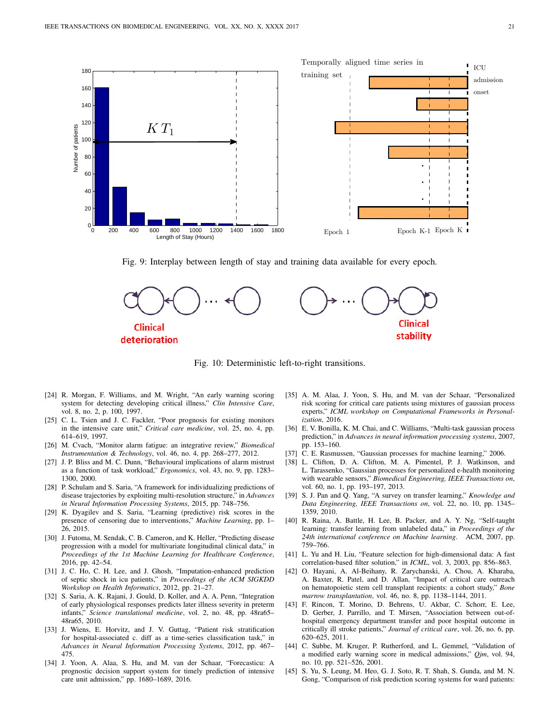

Fig. 9: Interplay between length of stay and training data available for every epoch.



Fig. 10: Deterministic left-to-right transitions.

- [24] R. Morgan, F. Williams, and M. Wright, "An early warning scoring system for detecting developing critical illness," *Clin Intensive Care*, vol. 8, no. 2, p. 100, 1997.
- [25] C. L. Tsien and J. C. Fackler, "Poor prognosis for existing monitors in the intensive care unit," *Critical care medicine*, vol. 25, no. 4, pp. 614–619, 1997.
- [26] M. Cvach, "Monitor alarm fatigue: an integrative review," *Biomedical Instrumentation & Technology*, vol. 46, no. 4, pp. 268–277, 2012.
- [27] J. P. Bliss and M. C. Dunn, "Behavioural implications of alarm mistrust as a function of task workload," *Ergonomics*, vol. 43, no. 9, pp. 1283– 1300, 2000.
- [28] P. Schulam and S. Saria, "A framework for individualizing predictions of disease trajectories by exploiting multi-resolution structure," in *Advances in Neural Information Processing Systems*, 2015, pp. 748–756.
- [29] K. Dyagilev and S. Saria, "Learning (predictive) risk scores in the presence of censoring due to interventions," *Machine Learning*, pp. 1– 26, 2015.
- [30] J. Futoma, M. Sendak, C. B. Cameron, and K. Heller, "Predicting disease progression with a model for multivariate longitudinal clinical data," in *Proceedings of the 1st Machine Learning for Healthcare Conference*, 2016, pp. 42–54.
- [31] J. C. Ho, C. H. Lee, and J. Ghosh, "Imputation-enhanced prediction of septic shock in icu patients," in *Proceedings of the ACM SIGKDD Workshop on Health Informatics*, 2012, pp. 21–27.
- [32] S. Saria, A. K. Rajani, J. Gould, D. Koller, and A. A. Penn, "Integration of early physiological responses predicts later illness severity in preterm infants," *Science translational medicine*, vol. 2, no. 48, pp. 48ra65– 48ra65, 2010.
- [33] J. Wiens, E. Horvitz, and J. V. Guttag, "Patient risk stratification for hospital-associated c. diff as a time-series classification task," in *Advances in Neural Information Processing Systems*, 2012, pp. 467– 475.
- [34] J. Yoon, A. Alaa, S. Hu, and M. van der Schaar, "Forecasticu: A prognostic decision support system for timely prediction of intensive care unit admission," pp. 1680–1689, 2016.
- [35] A. M. Alaa, J. Yoon, S. Hu, and M. van der Schaar, "Personalized risk scoring for critical care patients using mixtures of gaussian process experts," *ICML workshop on Computational Frameworks in Personalization*, 2016.
- [36] E. V. Bonilla, K. M. Chai, and C. Williams, "Multi-task gaussian process prediction," in *Advances in neural information processing systems*, 2007, pp. 153–160.
- [37] C. E. Rasmussen, "Gaussian processes for machine learning," 2006.
- [38] L. Clifton, D. A. Clifton, M. A. Pimentel, P. J. Watkinson, and L. Tarassenko, "Gaussian processes for personalized e-health monitoring with wearable sensors," *Biomedical Engineering, IEEE Transactions on*, vol. 60, no. 1, pp. 193–197, 2013.
- [39] S. J. Pan and Q. Yang, "A survey on transfer learning," *Knowledge and Data Engineering, IEEE Transactions on*, vol. 22, no. 10, pp. 1345– 1359, 2010.
- [40] R. Raina, A. Battle, H. Lee, B. Packer, and A. Y. Ng, "Self-taught learning: transfer learning from unlabeled data," in *Proceedings of the 24th international conference on Machine learning*. ACM, 2007, pp. 759–766.
- [41] L. Yu and H. Liu, "Feature selection for high-dimensional data: A fast correlation-based filter solution," in *ICML*, vol. 3, 2003, pp. 856–863.
- [42] O. Hayani, A. Al-Beihany, R. Zarychanski, A. Chou, A. Kharaba, A. Baxter, R. Patel, and D. Allan, "Impact of critical care outreach on hematopoietic stem cell transplant recipients: a cohort study," *Bone marrow transplantation*, vol. 46, no. 8, pp. 1138–1144, 2011.
- [43] F. Rincon, T. Morino, D. Behrens, U. Akbar, C. Schorr, E. Lee, D. Gerber, J. Parrillo, and T. Mirsen, "Association between out-ofhospital emergency department transfer and poor hospital outcome in critically ill stroke patients," *Journal of critical care*, vol. 26, no. 6, pp. 620–625, 2011.
- [44] C. Subbe, M. Kruger, P. Rutherford, and L. Gemmel, "Validation of a modified early warning score in medical admissions," *Qjm*, vol. 94, no. 10, pp. 521–526, 2001.
- [45] S. Yu, S. Leung, M. Heo, G. J. Soto, R. T. Shah, S. Gunda, and M. N. Gong, "Comparison of risk prediction scoring systems for ward patients: